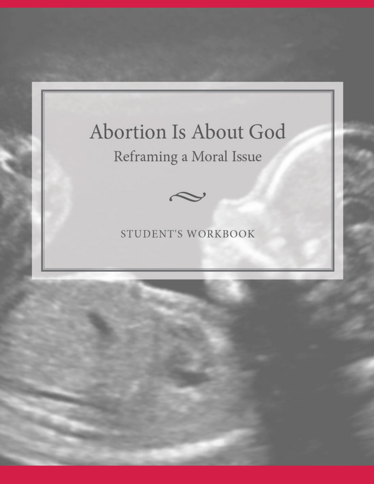# Abortion Is About God Reframing a Moral Issue



## STUDENT'S WORKBOOK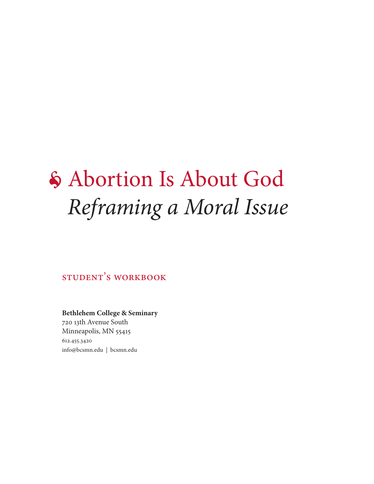# • Abortion Is About God *Reframing a Moral Issue*

student's workbook

**Bethlehem College & Seminary** 720 13th Avenue South Minneapolis, MN 55415 612.455.3420 info@bcsmn.edu | bcsmn.edu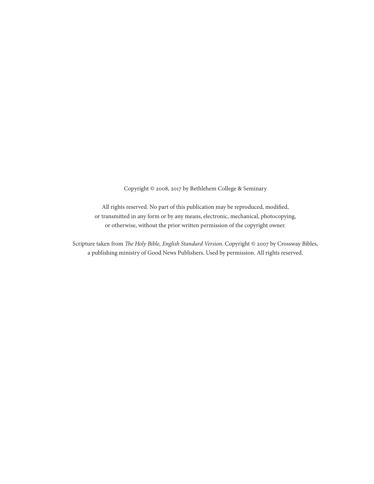Copyright © 2008, 2017 by Bethlehem College & Seminary

All rights reserved. No part of this publication may be reproduced, modified, or transmitted in any form or by any means, electronic, mechanical, photocopying, or otherwise, without the prior written permission of the copyright owner.

Scripture taken from *The Holy Bible, English Standard Version*. Copyright © 2007 by Crossway Bibles, a publishing ministry of Good News Publishers. Used by permission. All rights reserved.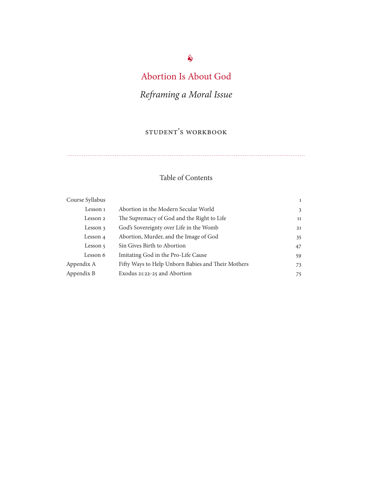# Abortion Is About God

# *Reframing a Moral Issue*

## student's workbook

## Table of Contents

| Course Syllabus |                                                    | $\mathbf{1}$ |
|-----------------|----------------------------------------------------|--------------|
| Lesson 1        | Abortion in the Modern Secular World               | 3            |
| Lesson 2        | The Supremacy of God and the Right to Life         | 11           |
| Lesson 3        | God's Sovereignty over Life in the Womb            | 21           |
| Lesson 4        | Abortion, Murder, and the Image of God             | 35           |
| Lesson 5        | Sin Gives Birth to Abortion                        | 47           |
| Lesson 6        | Imitating God in the Pro-Life Cause                | 59           |
| Appendix A      | Fifty Ways to Help Unborn Babies and Their Mothers | 73           |
| Appendix B      | Exodus 21:22-25 and Abortion                       | 75           |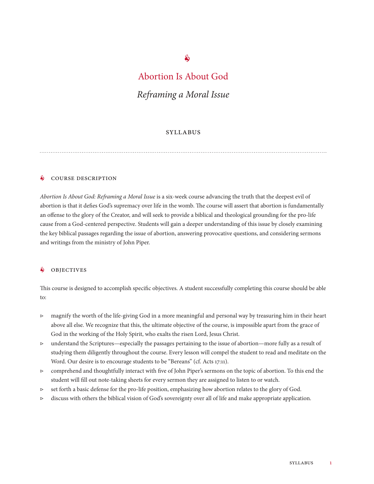#### $\hat{\mathbf{e}}$

## Abortion Is About God

#### *Reframing a Moral Issue*

#### **SYLLABUS**

#### **S** COURSE DESCRIPTION

*Abortion Is About God: Reframing a Moral Issue* is a six-week course advancing the truth that the deepest evil of abortion is that it defies God's supremacy over life in the womb. The course will assert that abortion is fundamentally an offense to the glory of the Creator, and will seek to provide a biblical and theological grounding for the pro-life cause from a God-centered perspective. Students will gain a deeper understanding of this issue by closely examining the key biblical passages regarding the issue of abortion, answering provocative questions, and considering sermons and writings from the ministry of John Piper.

#### **S** OBJECTIVES

This course is designed to accomplish specific objectives. A student successfully completing this course should be able to:

- ▷ magnify the worth of the life-giving God in a more meaningful and personal way by treasuring him in their heart above all else. We recognize that this, the ultimate objective of the course, is impossible apart from the grace of God in the working of the Holy Spirit, who exalts the risen Lord, Jesus Christ.
- ▷ understand the Scriptures—especially the passages pertaining to the issue of abortion—more fully as a result of studying them diligently throughout the course. Every lesson will compel the student to read and meditate on the Word. Our desire is to encourage students to be "Bereans" (cf. Acts 17:11).
- ▷ comprehend and thoughtfully interact with five of John Piper's sermons on the topic of abortion. To this end the student will fill out note-taking sheets for every sermon they are assigned to listen to or watch.
- ▷ set forth a basic defense for the pro-life position, emphasizing how abortion relates to the glory of God.
- $\triangleright$  discuss with others the biblical vision of God's sovereignty over all of life and make appropriate application.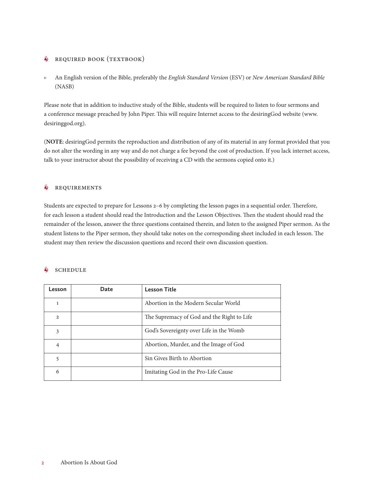#### **6** REQUIRED BOOK (TEXTBOOK)

▷ An English version of the Bible, preferably the *English Standard Version* (ESV) or *New American Standard Bible* (NASB)

Please note that in addition to inductive study of the Bible, students will be required to listen to four sermons and a conference message preached by John Piper. This will require Internet access to the desiringGod website (www. desiringgod.org).

(**NOTE**: desiringGod permits the reproduction and distribution of any of its material in any format provided that you do not alter the wording in any way and do not charge a fee beyond the cost of production. If you lack internet access, talk to your instructor about the possibility of receiving a CD with the sermons copied onto it.)

#### **S** REQUIREMENTS

Students are expected to prepare for Lessons 2–6 by completing the lesson pages in a sequential order. Therefore, for each lesson a student should read the Introduction and the Lesson Objectives. Then the student should read the remainder of the lesson, answer the three questions contained therein, and listen to the assigned Piper sermon. As the student listens to the Piper sermon, they should take notes on the corresponding sheet included in each lesson. The student may then review the discussion questions and record their own discussion question.

#### $\delta$  schedule

| Lesson         | Date | <b>Lesson Title</b>                        |
|----------------|------|--------------------------------------------|
| 1              |      | Abortion in the Modern Secular World       |
| $\overline{2}$ |      | The Supremacy of God and the Right to Life |
| 3              |      | God's Sovereignty over Life in the Womb    |
| 4              |      | Abortion, Murder, and the Image of God     |
| 5              |      | Sin Gives Birth to Abortion                |
| 6              |      | Imitating God in the Pro-Life Cause        |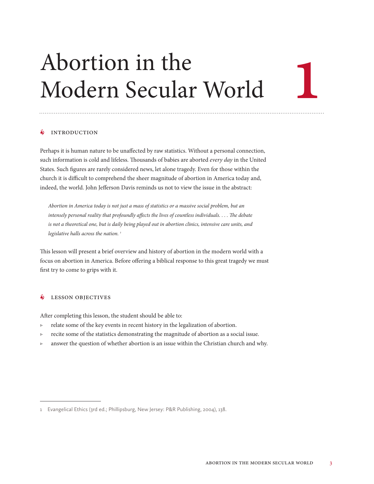# Abortion in the Modern Secular World

#### • Introduction

Perhaps it is human nature to be unaffected by raw statistics. Without a personal connection, such information is cold and lifeless. Thousands of babies are aborted *every day* in the United States. Such figures are rarely considered news, let alone tragedy. Even for those within the church it is difficult to comprehend the sheer magnitude of abortion in America today and, indeed, the world. John Jefferson Davis reminds us not to view the issue in the abstract:

*Abortion in America today is not just a mass of statistics or a massive social problem, but an intensely personal reality that profoundly affects the lives of countless individuals. . . . The debate is not a theoretical one, but is daily being played out in abortion clinics, intensive care units, and legislative halls across the nation. 1*

This lesson will present a brief overview and history of abortion in the modern world with a focus on abortion in America. Before offering a biblical response to this great tragedy we must first try to come to grips with it.

#### • Lesson Objectives

After completing this lesson, the student should be able to:

- ▷ relate some of the key events in recent history in the legalization of abortion.
- ▷ recite some of the statistics demonstrating the magnitude of abortion as a social issue.
- ▷ answer the question of whether abortion is an issue within the Christian church and why.

1

<sup>1</sup> Evangelical Ethics (3rd ed.; Phillipsburg, New Jersey: P&R Publishing, 2004), 138.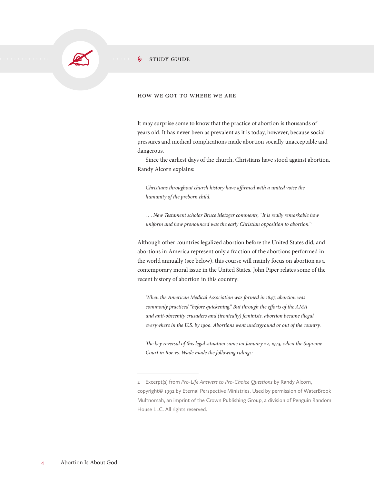

#### $\frac{1}{2}$  STUDY GUIDE

#### how we got to where we are

It may surprise some to know that the practice of abortion is thousands of years old. It has never been as prevalent as it is today, however, because social pressures and medical complications made abortion socially unacceptable and dangerous.

Since the earliest days of the church, Christians have stood against abortion. Randy Alcorn explains:

*Christians throughout church history have affirmed with a united voice the humanity of the preborn child.*

*. . . New Testament scholar Bruce Metzger comments, "It is really remarkable how uniform and how pronounced was the early Christian opposition to abortion."2*

Although other countries legalized abortion before the United States did, and abortions in America represent only a fraction of the abortions performed in the world annually (see below), this course will mainly focus on abortion as a contemporary moral issue in the United States. John Piper relates some of the recent history of abortion in this country:

*When the American Medical Association was formed in 1847, abortion was commonly practiced "before quickening." But through the efforts of the AMA and anti-obscenity crusaders and (ironically) feminists, abortion became illegal everywhere in the U.S. by 1900. Abortions went underground or out of the country.*

*The key reversal of this legal situation came on January 22, 1973, when the Supreme Court in Roe vs. Wade made the following rulings:*

<sup>2</sup> Excerpt(s) from *Pro-Life Answers to Pro-Choice Questions* by Randy Alcorn, copyright© 1992 by Eternal Perspective Ministries. Used by permission of WaterBrook Multnomah, an imprint of the Crown Publishing Group, a division of Penguin Random House LLC. All rights reserved.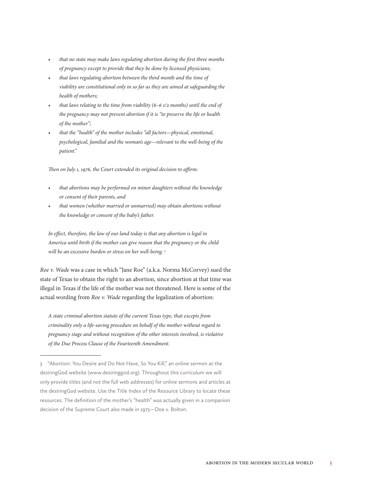- *• that no state may make laws regulating abortion during the first three months of pregnancy except to provide that they be done by licensed physicians;*
- *• that laws regulating abortion between the third month and the time of viability are constitutional only in so far as they are aimed at safeguarding the health of mothers;*
- *• that laws relating to the time from viability (6–6 1/2 months) until the end of the pregnancy may not prevent abortion if it is "to preserve the life or health of the mother";*
- *• that the "health" of the mother includes "all factors—physical, emotional, psychological, familial and the woman's age—relevant to the well-being of the patient."*

*Then on July 1, 1976, the Court extended its original decision to affirm:*

- *• that abortions may be performed on minor daughters without the knowledge or consent of their parents, and*
- *• that women (whether married or unmarried) may obtain abortions without the knowledge or consent of the baby's father.*

*In effect, therefore, the law of our land today is that any abortion is legal in America until birth if the mother can give reason that the pregnancy or the child will be an excessive burden or stress on her well-being. 3*

*Roe v. Wade* was a case in which "Jane Roe" (a.k.a. Norma McCorvey) sued the state of Texas to obtain the right to an abortion, since abortion at that time was illegal in Texas if the life of the mother was not threatened. Here is some of the actual wording from *Roe v. Wade* regarding the legalization of abortion:

*A state criminal abortion statute of the current Texas type, that excepts from criminality only a life-saving procedure on behalf of the mother without regard to pregnancy stage and without recognition of the other interests involved, is violative of the Due Process Clause of the Fourteenth Amendment.*

<sup>3</sup> "Abortion: You Desire and Do Not Have, So You Kill," an online sermon at the desiringGod website (www.desiringgod.org). Throughout this curriculum we will only provide titles (and not the full web addresses) for online sermons and articles at the desiringGod website. Use the Title Index of the Resource Library to locate these resources. The definition of the mother's "health" was actually given in a companion decision of the Supreme Court also made in 1973—Doe v. Bolton.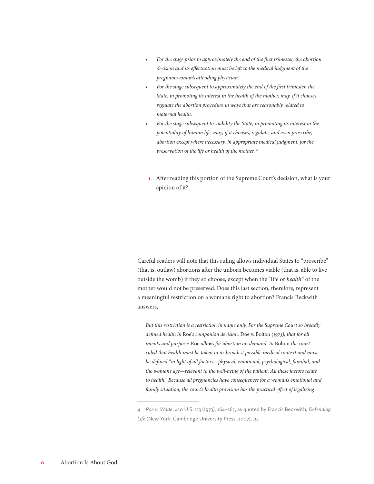- *• For the stage prior to approximately the end of the first trimester, the abortion decision and its effectuation must be left to the medical judgment of the pregnant woman's attending physician.*
- *• For the stage subsequent to approximately the end of the first trimester, the State, in promoting its interest in the health of the mother, may, if it chooses, regulate the abortion procedure in ways that are reasonably related to maternal health.*
- *• For the stage subsequent to viability the State, in promoting its interest in the potentiality of human life, may, if it chooses, regulate, and even proscribe, abortion except where necessary, in appropriate medical judgment, for the preservation of the life or health of the mother. 4*
- 1. After reading this portion of the Supreme Court's decision, what is your opinion of it?

Careful readers will note that this ruling allows individual States to "proscribe" (that is, outlaw) abortions after the unborn becomes viable (that is, able to live outside the womb) if they so choose, except when the "life or *health*" of the mother would not be preserved. Does this last section, therefore, represent a meaningful restriction on a woman's right to abortion? Francis Beckwith answers,

*But this restriction is a restriction in name only. For the Supreme Court so broadly defined health in* Roe'*s companion decision,* Doe v. Bolton *(1973), that for all intents and purposes* Roe *allows for abortion on demand. In* Bolton *the court ruled that health must be taken in its broadest possible medical context and must be defined "in light of all factors—physical, emotional, psychological, familial, and the woman's age—relevant to the well-being of the patient. All these factors relate to health." Because all pregnancies have consequences for a woman's emotional and family situation, the court's health provision has the practical effect of legalizing* 

<sup>4</sup> *Roe v. Wade*, 410 U.S. 113 (1973), 164–165, as quoted by Francis Beckwith, *Defending Life* (New York: Cambridge University Press, 2007), 19.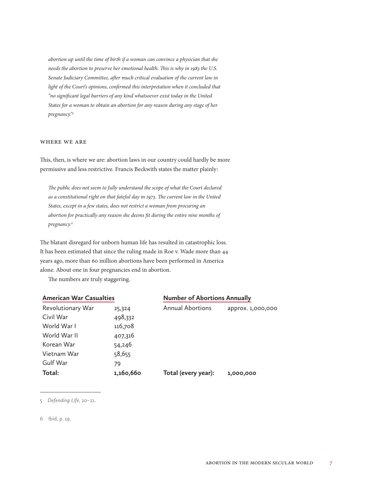*abortion up until the time of birth if a woman can convince a physician that she needs the abortion to preserve her emotional health. This is why in 1983 the U.S. Senate Judiciary Committee, after much critical evaluation of the current law in light of the Court's opinions, confirmed this interpretation when it concluded that "no significant legal barriers of any kind whatsoever exist today in the United States for a woman to obtain an abortion for any reason during any stage of her pregnancy."5*

#### where we are

This, then, is where we are: abortion laws in our country could hardly be more permissive and less restrictive. Francis Beckwith states the matter plainly:

*The public does not seem to fully understand the scope of what the Court declared as a constitutional right on that fateful day in 1973. The current law in the United States, except in a few states, does not restrict a woman from procuring an abortion for practically any reason she deems fit during the entire nine months of pregnancy.6*

The blatant disregard for unborn human life has resulted in catastrophic loss. It has been estimated that since the ruling made in Roe v. Wade more than 44 years ago, more than 60 million abortions have been performed in America alone. About one in four pregnancies end in abortion.

The numbers are truly staggering.

| <b>American War Casualties</b> |           | <b>Number of Abortions Annually</b> |                   |  |
|--------------------------------|-----------|-------------------------------------|-------------------|--|
| Revolutionary War              | 25,324    | <b>Annual Abortions</b>             | approx. 1,000,000 |  |
| Civil War                      | 498,332   |                                     |                   |  |
| World War I                    | 116,708   |                                     |                   |  |
| World War II                   | 407,316   |                                     |                   |  |
| Korean War                     | 54,246    |                                     |                   |  |
| Vietnam War                    | 58,655    |                                     |                   |  |
| Gulf War                       | 79        |                                     |                   |  |
| Total:                         | 1,160,660 | Total (every year):                 | 1,000,000         |  |

#### 5 *Defending Life*, 20–21.

6 Ibid, p. 19.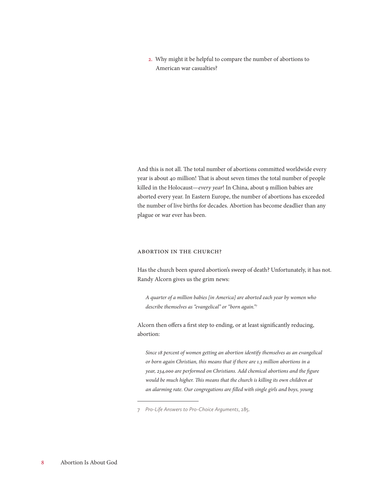2. Why might it be helpful to compare the number of abortions to American war casualties?

And this is not all. The total number of abortions committed worldwide every year is about 40 million! That is about seven times the total number of people killed in the Holocaust—*every year*! In China, about 9 million babies are aborted every year. In Eastern Europe, the number of abortions has exceeded the number of live births for decades. Abortion has become deadlier than any plague or war ever has been.

#### Abortion in the Church?

Has the church been spared abortion's sweep of death? Unfortunately, it has not. Randy Alcorn gives us the grim news:

*A quarter of a million babies [in America] are aborted each year by women who describe themselves as "evangelical" or "born again."7*

Alcorn then offers a first step to ending, or at least significantly reducing, abortion:

*Since 18 percent of women getting an abortion identify themselves as an evangelical or born again Christian, this means that if there are 1.3 million abortions in a year, 234,000 are performed on Christians. Add chemical abortions and the figure*  would be much higher. This means that the church is killing its own children at *an alarming rate. Our congregations are filled with single girls and boys, young* 

<sup>7</sup> *Pro-Life Answers to Pro-Choice Arguments*, 285.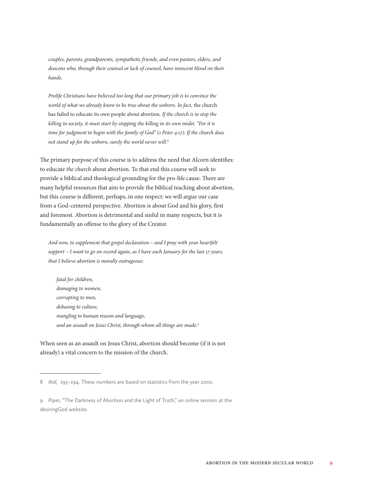*couples, parents, grandparents, sympathetic friends, and even pastors, elders, and deacons who, through their counsel or lack of counsel, have innocent blood on their hands.*

*Prolife Christians have believed too long that our primary job is to convince the*  world of what we already know to be true about the unborn. In fact, the church has failed to educate its own people about abortion*. If the church is to stop the killing in society, it must start by stopping the killing in its own midst. "For it is time for judgment to begin with the family of God" (1 Peter 4:17). If the church does not stand up for the unborn, surely the world never will.8*

The primary purpose of this course is to address the need that Alcorn identifies: to educate *the church* about abortion. To that end this course will seek to provide a biblical and theological grounding for the pro-life cause. There are many helpful resources that aim to provide the biblical teaching about abortion, but this course is different, perhaps, in one respect: we will argue our case from a God-centered perspective. Abortion is about God and his glory, first and foremost. Abortion is detrimental and sinful in many respects, but it is fundamentally an offense to the glory of the Creator.

*And now, to supplement that gospel declaration – and I pray with your heartfelt support – I want to go on record again, as I have each January for the last 17 years, that I believe abortion is morally outrageous:*

*fatal for children, damaging to women, corrupting to men, debasing to culture, mangling to human reason and language, and an assault on Jesus Christ, through whom all things are made.9*

When seen as an assault on Jesus Christ, abortion should become (if it is not already) a vital concern to the mission of the church.

<sup>8</sup> *Ibid,* 293–294. These numbers are based on statistics from the year 2000.

<sup>9</sup> Piper, "The Darkness of Abortion and the Light of Truth," an online sermon at the desiringGod website.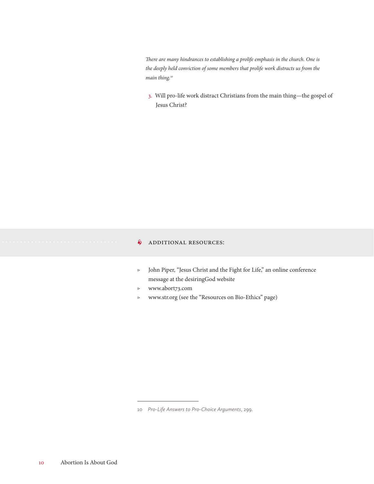*There are many hindrances to establishing a prolife emphasis in the church. One is the deeply held conviction of some members that prolife work distracts us from the main thing.10*

3. Will pro-life work distract Christians from the main thing—the gospel of Jesus Christ?

#### **§** ADDITIONAL RESOURCES:

- ▷ John Piper, "Jesus Christ and the Fight for Life," an online conference message at the desiringGod website
- ▷ www.abort73.com
- ▷ www.str.org (see the "Resources on Bio-Ethics" page)

<sup>10</sup> *Pro-Life Answers to Pro-Choice Arguments*, 299.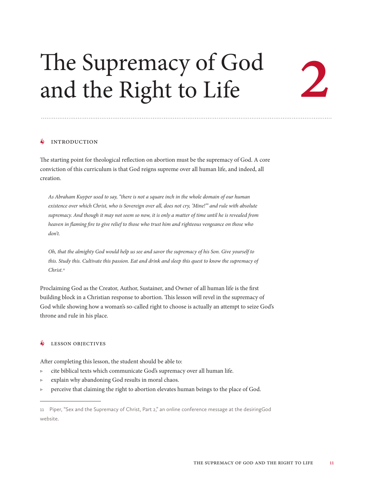# The Supremacy of God and the Right to Life

2

#### $\oint$  INTRODUCTION

The starting point for theological reflection on abortion must be the supremacy of God. A core conviction of this curriculum is that God reigns supreme over all human life, and indeed, all creation.

*As Abraham Kuyper used to say, "there is not a square inch in the whole domain of our human existence over which Christ, who is Sovereign over all, does not cry, 'Mine!'" and rule with absolute supremacy. And though it may not seem so now, it is only a matter of time until he is revealed from heaven in flaming fire to give relief to those who trust him and righteous vengeance on those who don't.*

*Oh, that the almighty God would help us see and savor the supremacy of his Son. Give yourself to this. Study this. Cultivate this passion. Eat and drink and sleep this quest to know the supremacy of Christ.11*

Proclaiming God as the Creator, Author, Sustainer, and Owner of all human life is the first building block in a Christian response to abortion. This lesson will revel in the supremacy of God while showing how a woman's so-called right to choose is actually an attempt to seize God's throne and rule in his place.

#### • Lesson Objectives

After completing this lesson, the student should be able to:

- ▷ cite biblical texts which communicate God's supremacy over all human life.
- ▷ explain why abandoning God results in moral chaos.
- ▷ perceive that claiming the right to abortion elevates human beings to the place of God.

<sup>11</sup> Piper, "Sex and the Supremacy of Christ, Part 2," an online conference message at the desiringGod website.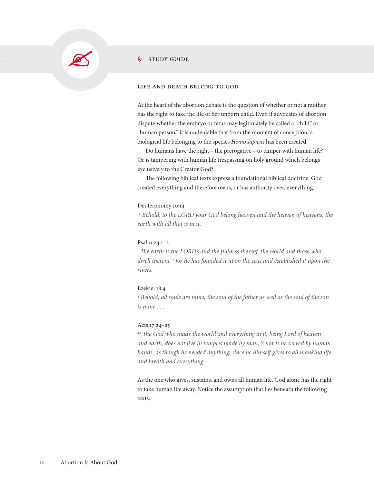

#### $\frac{1}{2}$  study Guide

#### life and death belong to god

At the heart of the abortion debate is the question of whether or not a mother has the right to take the life of her unborn child. Even if advocates of abortion dispute whether the embryo or fetus may legitimately be called a "child" or "human person," it is undeniable that from the moment of conception, a biological life belonging to the species *Homo sapiens* has been created.

Do humans have the right—the prerogative—to tamper with human life? Or is tampering with human life trespassing on holy ground which belongs exclusively to the Creator God?

The following biblical texts express a foundational biblical doctrine: God created everything and therefore owns, or has authority over, everything.

#### Deuteronomy 10:14

*14 Behold, to the LORD your God belong heaven and the heaven of heavens, the earth with all that is in it.*

#### Psalm 24:1–2

<sup>1</sup> The earth is the LORD's and the fullness thereof, the world and those who *dwell therein, 2 for he has founded it upon the seas and established it upon the rivers.*

#### Ezekiel 18:4

<sup>4</sup> Behold, all souls are mine; the soul of the father as well as the soul of the son *is mine . . .*

#### Acts 17:24–25

<sup>24</sup> The God who made the world and everything in it, being Lord of heaven *and earth, does not live in temples made by man, 25 nor is he served by human hands, as though he needed anything, since he himself gives to all mankind life and breath and everything.*

As the one who gives, sustains, and owns all human life, God alone has the right to take human life away. Notice the assumption that lies beneath the following texts.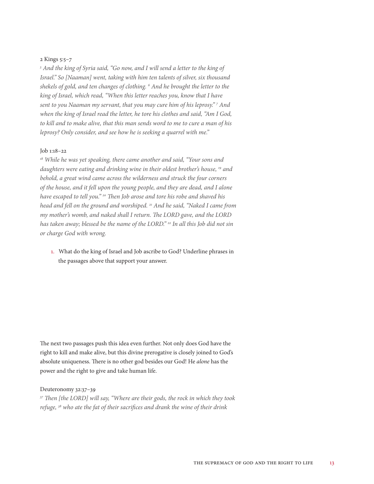#### 2 Kings 5:5–7

<sup>5</sup> And the king of Syria said, "Go now, and I will send a letter to the king of *Israel." So [Naaman] went, taking with him ten talents of silver, six thousand shekels of gold, and ten changes of clothing. 6 And he brought the letter to the king of Israel, which read, "When this letter reaches you, know that I have*  sent to you Naaman my servant, that you may cure him of his leprosy."<sup>7</sup> And *when the king of Israel read the letter, he tore his clothes and said, "Am I God, to kill and to make alive, that this man sends word to me to cure a man of his leprosy? Only consider, and see how he is seeking a quarrel with me."*

#### Job 1:18–22

*18 While he was yet speaking, there came another and said, "Your sons and daughters were eating and drinking wine in their oldest brother's house, 19 and behold, a great wind came across the wilderness and struck the four corners of the house, and it fell upon the young people, and they are dead, and I alone have escaped to tell you." 20 Then Job arose and tore his robe and shaved his head and fell on the ground and worshiped. 21 And he said, "Naked I came from my mother's womb, and naked shall I return. The LORD gave, and the LORD has taken away; blessed be the name of the LORD." 22 In all this Job did not sin or charge God with wrong.*

1. What do the king of Israel and Job ascribe to God? Underline phrases in the passages above that support your answer.

The next two passages push this idea even further. Not only does God have the right to kill and make alive, but this divine prerogative is closely joined to God's absolute uniqueness. There is no other god besides our God! He *alone* has the power and the right to give and take human life.

#### Deuteronomy 32:37–39

*37 Then [the LORD] will say, "Where are their gods, the rock in which they took refuge, 38 who ate the fat of their sacrifices and drank the wine of their drink*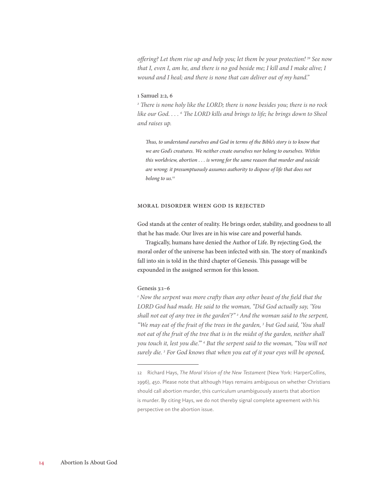*offering? Let them rise up and help you; let them be your protection! 39 See now that I, even I, am he, and there is no god beside me; I kill and I make alive; I wound and I heal; and there is none that can deliver out of my hand."*

#### 1 Samuel 2:2, 6

*2 There is none holy like the LORD; there is none besides you; there is no rock*  like our God. . . . <sup>6</sup> The LORD kills and brings to life; he brings down to Sheol *and raises up.*

*Thus, to understand ourselves and God in terms of the Bible's story is to know that we are God's creatures. We neither create ourselves nor belong to ourselves. Within this worldview, abortion . . . is wrong for the same reason that murder and suicide are wrong: it presumptuously assumes authority to dispose of life that does not belong to us.12*

#### Moral Disorder When God is Rejected

God stands at the center of reality. He brings order, stability, and goodness to all that he has made. Our lives are in his wise care and powerful hands.

Tragically, humans have denied the Author of Life. By rejecting God, the moral order of the universe has been infected with sin. The story of mankind's fall into sin is told in the third chapter of Genesis. This passage will be expounded in the assigned sermon for this lesson.

#### Genesis 3:1–6

<sup>1</sup> Now the serpent was more crafty than any other beast of the field that the *LORD God had made. He said to the woman, "Did God actually say, 'You shall not eat of any tree in the garden'?" 2 And the woman said to the serpent,*  "We may eat of the fruit of the trees in the garden,<sup>3</sup> but God said, 'You shall *not eat of the fruit of the tree that is in the midst of the garden, neither shall*  you touch it, lest you die."<sup>\*</sup> 4 But the serpent said to the woman, "You will not *surely die. 5 For God knows that when you eat of it your eyes will be opened,* 

<sup>12</sup> Richard Hays, *The Moral Vision of the New Testament* (New York: HarperCollins, 1996), 450. Please note that although Hays remains ambiguous on whether Christians should call abortion murder, this curriculum unambiguously asserts that abortion is murder. By citing Hays, we do not thereby signal complete agreement with his perspective on the abortion issue.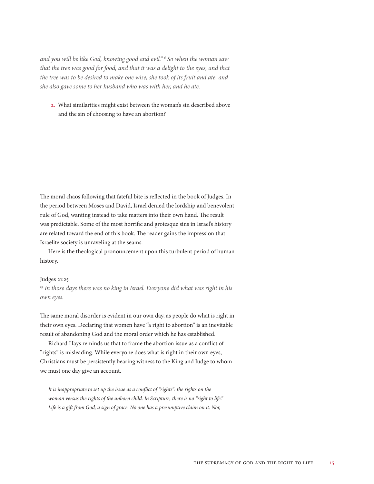*and you will be like God, knowing good and evil." 6 So when the woman saw that the tree was good for food, and that it was a delight to the eyes, and that the tree was to be desired to make one wise, she took of its fruit and ate, and she also gave some to her husband who was with her, and he ate.*

2. What similarities might exist between the woman's sin described above and the sin of choosing to have an abortion?

The moral chaos following that fateful bite is reflected in the book of Judges. In the period between Moses and David, Israel denied the lordship and benevolent rule of God, wanting instead to take matters into their own hand. The result was predictable. Some of the most horrific and grotesque sins in Israel's history are related toward the end of this book. The reader gains the impression that Israelite society is unraveling at the seams.

Here is the theological pronouncement upon this turbulent period of human history.

#### Judges 21:25

*25 In those days there was no king in Israel. Everyone did what was right in his own eyes.*

The same moral disorder is evident in our own day, as people do what is right in their own eyes. Declaring that women have "a right to abortion" is an inevitable result of abandoning God and the moral order which he has established.

Richard Hays reminds us that to frame the abortion issue as a conflict of "rights" is misleading. While everyone does what is right in their own eyes, Christians must be persistently bearing witness to the King and Judge to whom we must one day give an account.

*It is inappropriate to set up the issue as a conflict of "rights": the rights on the woman versus the rights of the unborn child. In Scripture, there is no "right to life." Life is a gift from God, a sign of grace. No one has a presumptive claim on it. Nor,*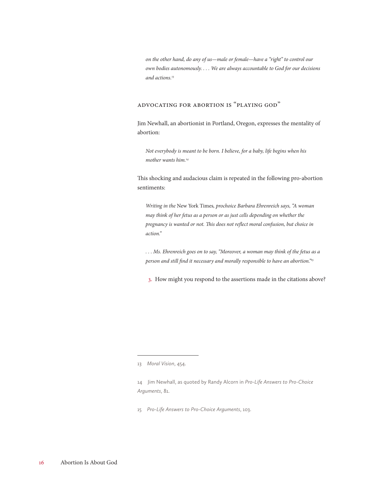*on the other hand, do any of us—male or female—have a "right" to control our own bodies autonomously. . . . We are always accountable to God for our decisions and actions.13*

#### Advocating for Abortion is "Playing God"

Jim Newhall, an abortionist in Portland, Oregon, expresses the mentality of abortion:

*Not everybody is meant to be born. I believe, for a baby, life begins when his mother wants him.14*

This shocking and audacious claim is repeated in the following pro-abortion sentiments:

*Writing in the* New York Times*, prochoice Barbara Ehrenreich says, "A woman may think of her fetus as a person or as just cells depending on whether the pregnancy is wanted or not. This does not reflect moral confusion, but choice in action."*

*. . . Ms. Ehrenreich goes on to say, "Moreover, a woman may think of the fetus as a person and still find it necessary and morally responsible to have an abortion."15*

3. How might you respond to the assertions made in the citations above?

14 Jim Newhall, as quoted by Randy Alcorn in *Pro-Life Answers to Pro-Choice Arguments*, 81.

15 *Pro-Life Answers to Pro-Choice Arguments*, 103.

<sup>13</sup> *Moral Vision*, 454.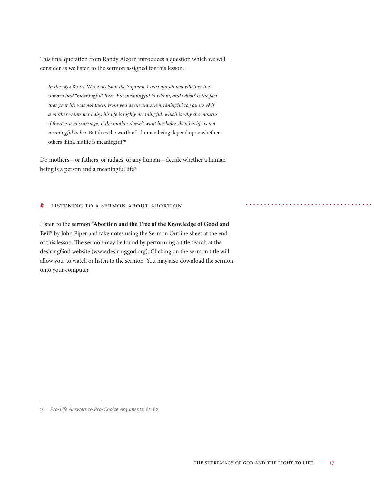This final quotation from Randy Alcorn introduces a question which we will consider as we listen to the sermon assigned for this lesson.

*In the 1973* Roe v. Wade *decision the Supreme Court questioned whether the unborn had "meaningful" lives. But meaningful to whom, and when? Is the fact that your life was not taken from you as an unborn meaningful to you now? If a mother wants her baby, his life is highly meaningful, which is why she mourns if there is a miscarriage. If the mother doesn't want her baby, then his life is not meaningful to her.* But does the worth of a human being depend upon whether others think his life is meaningful?16

Do mothers—or fathers, or judges, or any human—decide whether a human being is a person and a meaningful life?

#### **6** LISTENING TO A SERMON ABOUT ABORTION

Listen to the sermon **"Abortion and the Tree of the Knowledge of Good and Evil"** by John Piper and take notes using the Sermon Outline sheet at the end of this lesson. The sermon may be found by performing a title search at the desiringGod website (www.desiringgod.org). Clicking on the sermon title will allow you to watch or listen to the sermon. You may also download the sermon onto your computer.

<sup>16</sup> *Pro-Life Answers to Pro-Choice Arguments*, 81-82.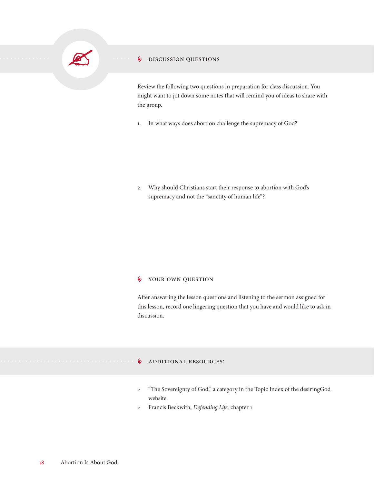

#### **S** DISCUSSION QUESTIONS

Review the following two questions in preparation for class discussion. You might want to jot down some notes that will remind you of ideas to share with the group.

1. In what ways does abortion challenge the supremacy of God?

2. Why should Christians start their response to abortion with God's supremacy and not the "sanctity of human life"?

#### $\oint$  YOUR OWN QUESTION

After answering the lesson questions and listening to the sermon assigned for this lesson, record one lingering question that you have and would like to ask in discussion.

#### **S** ADDITIONAL RESOURCES:

- ▷ "The Sovereignty of God," a category in the Topic Index of the desiringGod website
- ▷ Francis Beckwith, *Defending Life,* chapter 1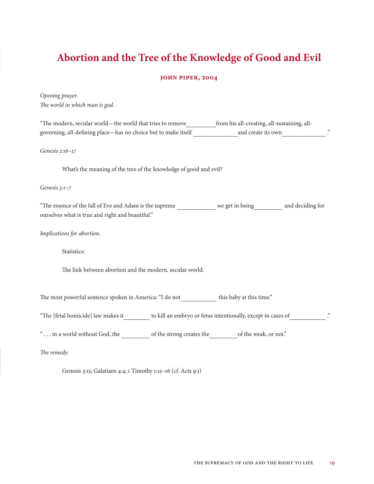## **Abortion and the Tree of the Knowledge of Good and Evil**

#### **John Piper, 2004**

*Opening prayer. The world in which man is god.*

| "The modern, secular world—the world that tries to remove_____________ from his all-creating, all-sustaining, all-<br>governing, all-defining place—has no choice but to make itself and create its own |  |  |
|---------------------------------------------------------------------------------------------------------------------------------------------------------------------------------------------------------|--|--|
| Genesis 2:16-17                                                                                                                                                                                         |  |  |
| What's the meaning of the tree of the knowledge of good and evil?                                                                                                                                       |  |  |
| Genesis $3:1-7$                                                                                                                                                                                         |  |  |
| "The essence of the fall of Eve and Adam is the supreme we get in being and deciding for<br>ourselves what is true and right and beautiful."                                                            |  |  |
| Implications for abortion.                                                                                                                                                                              |  |  |
| Statistics:                                                                                                                                                                                             |  |  |
| The link between abortion and the modern, secular world:                                                                                                                                                |  |  |
| The most powerful sentence spoken in America: "I do not this baby at this time."                                                                                                                        |  |  |
| "The [fetal homicide] law makes it to kill an embryo or fetus intentionally, except in cases of                                                                                                         |  |  |
| " in a world without God, the strong creates the of the weak, or not."                                                                                                                                  |  |  |
| The remedy.                                                                                                                                                                                             |  |  |

Genesis 3:15; Galatians 4:4; 1 Timothy 1:15–16 (cf. Acts 9:1)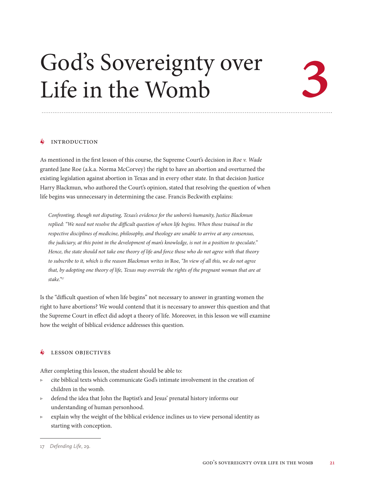# God's Sovereignty over<br>Life in the Womb<br>A NTRONGTON Life in the Womb

#### **INTRODUCTION**

As mentioned in the first lesson of this course, the Supreme Court's decision in *Roe v. Wade*  granted Jane Roe (a.k.a. Norma McCorvey) the right to have an abortion and overturned the existing legislation against abortion in Texas and in every other state. In that decision Justice Harry Blackmun, who authored the Court's opinion, stated that resolving the question of when life begins was unnecessary in determining the case. Francis Beckwith explains:

*Confronting, though not disputing, Texas's evidence for the unborn's humanity, Justice Blackmun replied: "We need not resolve the difficult question of when life begins. When those trained in the respective disciplines of medicine, philosophy, and theology are unable to arrive at any consensus, the judiciary, at this point in the development of man's knowledge, is not in a position to speculate." Hence, the state should not take one theory of life and force those who do not agree with that theory to subscribe to it, which is the reason Blackmun writes in* Roe, *"In view of all this, we do not agree that, by adopting one theory of life, Texas may override the rights of the pregnant woman that are at stake."17*

Is the "difficult question of when life begins" not necessary to answer in granting women the right to have abortions? We would contend that it is necessary to answer this question and that the Supreme Court in effect did adopt a theory of life. Moreover, in this lesson we will examine how the weight of biblical evidence addresses this question.

#### **S** LESSON OBJECTIVES

After completing this lesson, the student should be able to:

- ▷ cite biblical texts which communicate God's intimate involvement in the creation of children in the womb.
- ▷ defend the idea that John the Baptist's and Jesus' prenatal history informs our understanding of human personhood.
- ▷ explain why the weight of the biblical evidence inclines us to view personal identity as starting with conception.

<sup>17</sup> *Defending Life*, 29.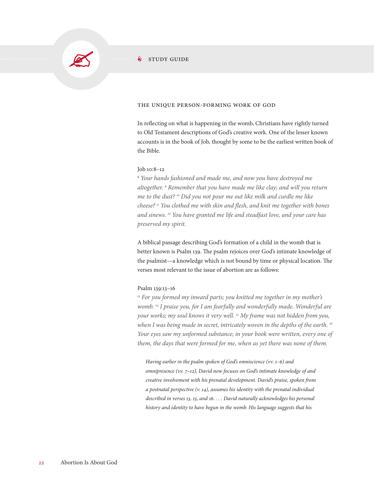

#### $\frac{1}{2}$  study guide

#### the unique person-forming work of god

In reflecting on what is happening in the womb, Christians have rightly turned to Old Testament descriptions of God's creative work. One of the lesser known accounts is in the book of Job, thought by some to be the earliest written book of the Bible.

#### Job 10:8–12

*8 Your hands fashioned and made me, and now you have destroyed me altogether. 9 Remember that you have made me like clay; and will you return me to the dust? 10 Did you not pour me out like milk and curdle me like cheese? 11 You clothed me with skin and flesh, and knit me together with bones and sinews. 12 You have granted me life and steadfast love, and your care has preserved my spirit.*

A biblical passage describing God's formation of a child in the womb that is better known is Psalm 139. The psalm rejoices over God's intimate knowledge of the psalmist—a knowledge which is not bound by time or physical location. The verses most relevant to the issue of abortion are as follows:

#### Psalm 139:13–16

*13 For you formed my inward parts; you knitted me together in my mother's womb. 14 I praise you, for I am fearfully and wonderfully made. Wonderful are your works; my soul knows it very well. 15 My frame was not hidden from you, when I was being made in secret, intricately woven in the depths of the earth. 16 Your eyes saw my unformed substance; in your book were written, every one of them, the days that were formed for me, when as yet there was none of them.*

*Having earlier in the psalm spoken of God's omniscience (vv. 1–6) and omnipresence (vv. 7–12), David now focuses on God's intimate knowledge of and creative involvement with his prenatal development. David's praise, spoken from a postnatal perspective (v. 14), assumes his identity with the prenatal individual described in verses 13, 15, and 16. . . . David naturally acknowledges his personal history and identity to have begun in the womb. His language suggests that his*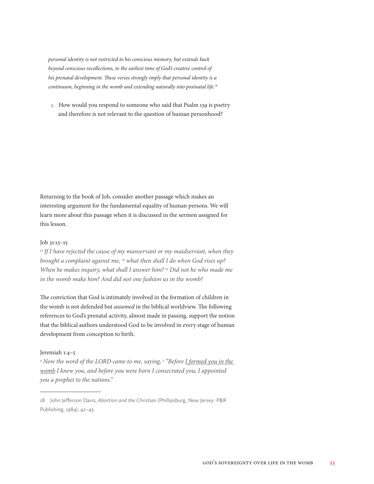*personal identity is not restricted to his conscious memory, but extends back beyond conscious recollections, to the earliest time of God's creative control of his prenatal development. These verses strongly imply that personal identity is a continuum, beginning in the womb and extending naturally into postnatal life.18*

1. How would you respond to someone who said that Psalm 139 is poetry and therefore is not relevant to the question of human personhood?

Returning to the book of Job, consider another passage which makes an interesting argument for the fundamental equality of human persons. We will learn more about this passage when it is discussed in the sermon assigned for this lesson.

#### Job 31:13–15

*13 If I have rejected the cause of my manservant or my maidservant, when they brought a complaint against me, 14 what then shall I do when God rises up? When he makes inquiry, what shall I answer him? 15 Did not he who made me in the womb make him? And did not one fashion us in the womb?*

The conviction that God is intimately involved in the formation of children in the womb is not defended but *assumed* in the biblical worldview. The following references to God's prenatal activity, almost made in passing, support the notion that the biblical authors understood God to be involved in every stage of human development from conception to birth.

#### Jeremiah 1:4–5

*4 Now the word of the LORD came to me, saying, 5 "Before I formed you in the womb I knew you, and before you were born I consecrated you; I appointed you a prophet to the nations."*

<sup>18</sup> John Jefferson Davis, *Abortion and the Christian* (Phillipsburg, New Jersey: P&R Publishing, 1984), 42–43.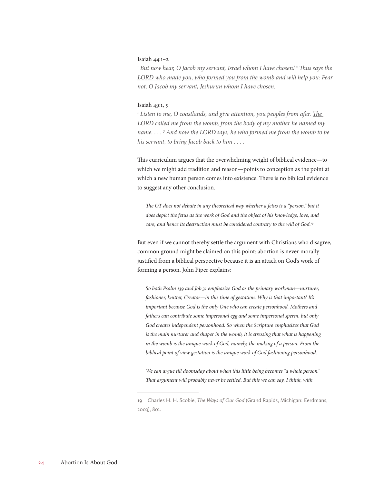#### Isaiah 44:1–2

<sup>1</sup> But now hear, O Jacob my servant, Israel whom I have chosen! <sup>2</sup> Thus says <u>the </u> *LORD who made you, who formed you from the womb and will help you: Fear not, O Jacob my servant, Jeshurun whom I have chosen.*

#### Isaiah 49:1, 5

<sup>1</sup> Listen to me, O coastlands, and give attention, you peoples from afar. <u>The </u> *LORD called me from the womb, from the body of my mother he named my name. . . . 5 And now the LORD says, he who formed me from the womb to be his servant, to bring Jacob back to him . . . .*

This curriculum argues that the overwhelming weight of biblical evidence—to which we might add tradition and reason—points to conception as the point at which a new human person comes into existence. There is no biblical evidence to suggest any other conclusion.

The OT does not debate in any theoretical way whether a fetus is a "person," but it *does depict the fetus as the work of God and the object of his knowledge, love, and care, and hence its destruction must be considered contrary to the will of God.19*

But even if we cannot thereby settle the argument with Christians who disagree, common ground might be claimed on this point: abortion is never morally justified from a biblical perspective because it is an attack on God's work of forming a person. John Piper explains:

*So both Psalm 139 and Job 31 emphasize God as the primary workman—nurturer, fashioner, knitter, Creator—in this time of gestation. Why is that important? It's important because God is the only One who can create personhood. Mothers and fathers can contribute some impersonal egg and some impersonal sperm, but only God creates independent personhood. So when the Scripture emphasizes that God is the main nurturer and shaper in the womb, it is stressing that what is happening in the womb is the unique work of God, namely, the making of a person. From the biblical point of view gestation is the unique work of God fashioning personhood.*

*We can argue till doomsday about when this little being becomes "a whole person." That argument will probably never be settled. But this we can say, I think, with* 

<sup>19</sup> Charles H. H. Scobie, *The Ways of Our God* (Grand Rapids, Michigan: Eerdmans, 2003), 801.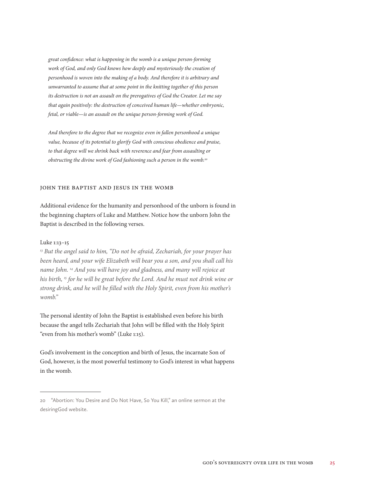*great confidence: what is happening in the womb is a unique person-forming work of God, and only God knows how deeply and mysteriously the creation of personhood is woven into the making of a body. And therefore it is arbitrary and unwarranted to assume that at some point in the knitting together of this person its destruction is not an assault on the prerogatives of God the Creator. Let me say that again positively: the destruction of conceived human life—whether embryonic, fetal, or viable—is an assault on the unique person-forming work of God.*

*And therefore to the degree that we recognize even in fallen personhood a unique value, because of its potential to glorify God with conscious obedience and praise, to that degree will we shrink back with reverence and fear from assaulting or obstructing the divine work of God fashioning such a person in the womb.20*

#### JOHN THE BAPTIST AND JESUS IN THE WOMB

Additional evidence for the humanity and personhood of the unborn is found in the beginning chapters of Luke and Matthew. Notice how the unborn John the Baptist is described in the following verses.

#### Luke 1:13–15

*13 But the angel said to him, "Do not be afraid, Zechariah, for your prayer has been heard, and your wife Elizabeth will bear you a son, and you shall call his name John. 14 And you will have joy and gladness, and many will rejoice at his birth, 15 for he will be great before the Lord. And he must not drink wine or strong drink, and he will be filled with the Holy Spirit, even from his mother's womb."*

The personal identity of John the Baptist is established even before his birth because the angel tells Zechariah that John will be filled with the Holy Spirit "even from his mother's womb" (Luke 1:15).

God's involvement in the conception and birth of Jesus, the incarnate Son of God, however, is the most powerful testimony to God's interest in what happens in the womb.

<sup>20</sup> "Abortion: You Desire and Do Not Have, So You Kill," an online sermon at the desiringGod website.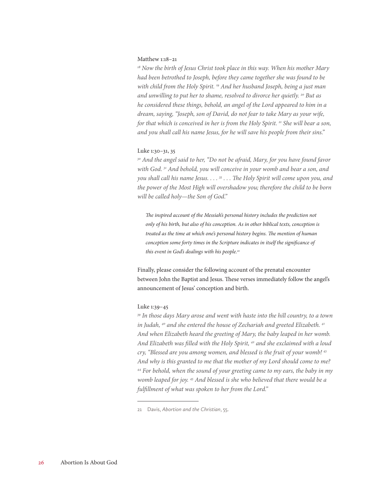#### Matthew 1:18–21

*18 Now the birth of Jesus Christ took place in this way. When his mother Mary had been betrothed to Joseph, before they came together she was found to be with child from the Holy Spirit. 19 And her husband Joseph, being a just man and unwilling to put her to shame, resolved to divorce her quietly. 20 But as he considered these things, behold, an angel of the Lord appeared to him in a dream, saying, "Joseph, son of David, do not fear to take Mary as your wife, for that which is conceived in her is from the Holy Spirit. 21 She will bear a son, and you shall call his name Jesus, for he will save his people from their sins."*

#### Luke 1:30–31, 35

*30 And the angel said to her, "Do not be afraid, Mary, for you have found favor with God. 31 And behold, you will conceive in your womb and bear a son, and you shall call his name Jesus. . . . 35 . . . The Holy Spirit will come upon you, and the power of the Most High will overshadow you; therefore the child to be born will be called holy—the Son of God."*

*The inspired account of the Messiah's personal history includes the prediction not only of his birth, but also of his conception. As in other biblical texts, conception is treated as the time at which one's personal history begins. The mention of human conception some forty times in the Scripture indicates in itself the significance of this event in God's dealings with his people.21*

Finally, please consider the following account of the prenatal encounter between John the Baptist and Jesus. These verses immediately follow the angel's announcement of Jesus' conception and birth.

#### Luke 1:39–45

*39 In those days Mary arose and went with haste into the hill country, to a town in Judah, 40 and she entered the house of Zechariah and greeted Elizabeth. 41 And when Elizabeth heard the greeting of Mary, the baby leaped in her womb. And Elizabeth was filled with the Holy Spirit, 42 and she exclaimed with a loud cry, "Blessed are you among women, and blessed is the fruit of your womb! 43 And why is this granted to me that the mother of my Lord should come to me? 44 For behold, when the sound of your greeting came to my ears, the baby in my womb leaped for joy. 45 And blessed is she who believed that there would be a fulfillment of what was spoken to her from the Lord."*

<sup>21</sup> Davis, *Abortion and the Christian*, 55.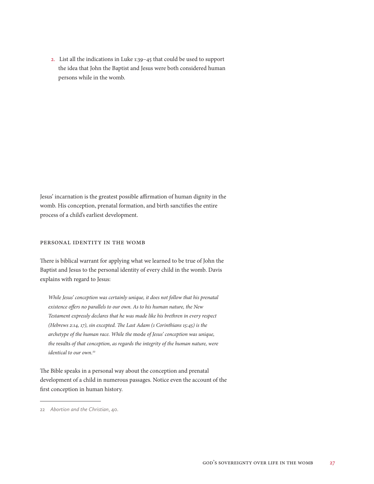2. List all the indications in Luke 1:39–45 that could be used to support the idea that John the Baptist and Jesus were both considered human persons while in the womb.

Jesus' incarnation is the greatest possible affirmation of human dignity in the womb. His conception, prenatal formation, and birth sanctifies the entire process of a child's earliest development.

#### PERSONAL IDENTITY IN THE WOMB

There is biblical warrant for applying what we learned to be true of John the Baptist and Jesus to the personal identity of every child in the womb. Davis explains with regard to Jesus:

*While Jesus' conception was certainly unique, it does not follow that his prenatal existence offers no parallels to our own. As to his human nature, the New Testament expressly declares that he was made like his brethren in every respect (Hebrews 2:14, 17), sin excepted. The Last Adam (1 Corinthians 15:45) is the archetype of the human race. While the* mode *of Jesus' conception was unique, the* results *of that conception, as regards the integrity of the human nature, were identical to our own.22*

The Bible speaks in a personal way about the conception and prenatal development of a child in numerous passages. Notice even the account of the first conception in human history.

<sup>22</sup> *Abortion and the Christian*, 40.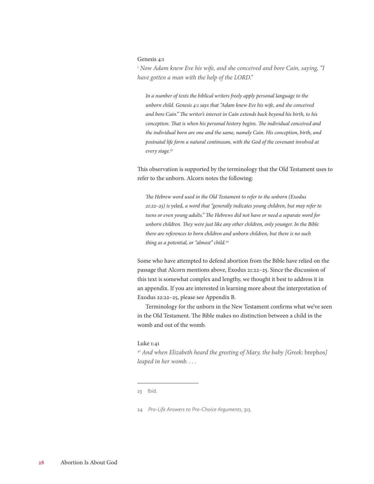#### Genesis 4:1

<sup>1</sup> Now Adam knew Eve his wife, and she conceived and bore Cain, saying, "I *have gotten a man with the help of the LORD."*

*In a number of texts the biblical writers freely apply personal language to the unborn child. Genesis 4:1 says that "Adam knew Eve his wife, and she conceived and bore Cain." The writer's interest in Cain extends back beyond his birth, to his conception. That is when his personal history begins. The individual conceived and the individual born are one and the same, namely Cain. His conception, birth, and postnatal life form a natural continuum, with the God of the covenant involved at every stage.23*

This observation is supported by the terminology that the Old Testament uses to refer to the unborn. Alcorn notes the following:

*The Hebrew word used in the Old Testament to refer to the unborn (Exodus 21:22–25) is* yeled*, a word that "generally indicates young children, but may refer to teens or even young adults." The Hebrews did not have or need a separate word for unborn children. They were just like any other children, only younger. In the Bible there are references to born children and unborn children, but there is no such thing as a potential, or "almost" child.24*

Some who have attempted to defend abortion from the Bible have relied on the passage that Alcorn mentions above, Exodus 21:22–25. Since the discussion of this text is somewhat complex and lengthy, we thought it best to address it in an appendix. If you are interested in learning more about the interpretation of Exodus 22:22–25, please see Appendix B.

Terminology for the unborn in the New Testament confirms what we've seen in the Old Testament. The Bible makes no distinction between a child in the womb and out of the womb.

#### Luke 1:41

*41 And when Elizabeth heard the greeting of Mary, the baby [Greek:* brephos*] leaped in her womb. . . .*

23 Ibid.

<sup>24</sup> *Pro-Life Answers to Pro-Choice Arguments*, 313.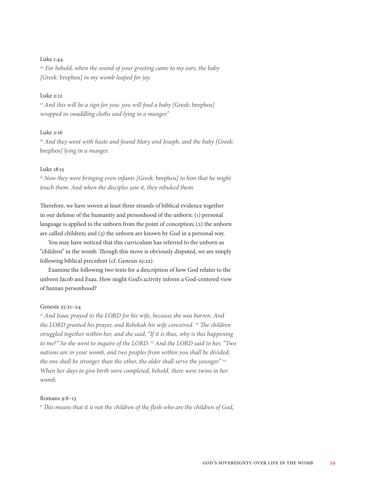#### Luke 1:44

*44 For behold, when the sound of your greeting came to my ears, the baby [Greek:* brephos*] in my womb leaped for joy.*

#### Luke 2:12

<sup>12</sup> And this will be a sign for you: you will find a baby [Greek: brephos] *wrapped in swaddling cloths and lying in a manger."*

#### Luke 2:16

<sup>16</sup> And they went with haste and found Mary and Joseph, and the baby [Greek: brephos*] lying in a manger.*

#### Luke 18:15

*15 Now they were bringing even infants [Greek:* brephos*] to him that he might touch them. And when the disciples saw it, they rebuked them.*

Therefore, we have woven at least three strands of biblical evidence together in our defense of the humanity and personhood of the unborn: (1) personal language is applied to the unborn from the point of conception; (2) the unborn are called children; and (3) the unborn are known by God in a personal way.

You may have noticed that this curriculum has referred to the unborn as "children" in the womb. Though this move is obviously disputed, we are simply following biblical precedent (cf. Genesis 25:22).

Examine the following two texts for a description of how God relates to the unborn Jacob and Esau. How might God's activity inform a God-centered view of human personhood?

#### Genesis 25:21–24

*21 And Isaac prayed to the LORD for his wife, because she was barren. And*  the LORD granted his prayer, and Rebekah his wife conceived. <sup>22</sup> The children *struggled together within her, and she said, "If it is thus, why is this happening to me?" So she went to inquire of the LORD. 23 And the LORD said to her, "Two nations are in your womb, and two peoples from within you shall be divided; the one shall be stronger than the other, the older shall serve the younger." 24 When her days to give birth were completed, behold, there were twins in her womb.*

#### Romans 9:8–13

*8 This means that it is not the children of the flesh who are the children of God,*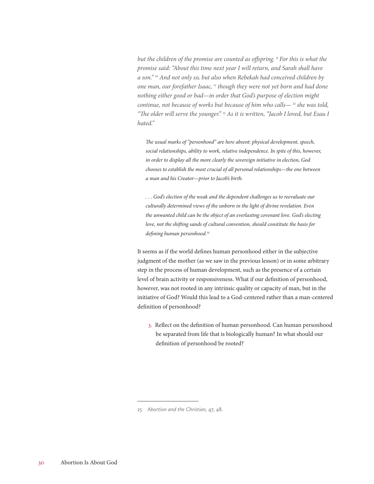*but the children of the promise are counted as offspring. 9 For this is what the promise said: "About this time next year I will return, and Sarah shall have a son." 10 And not only so, but also when Rebekah had conceived children by one man, our forefather Isaac, 11 though they were not yet born and had done nothing either good or bad—in order that God's purpose of election might continue, not because of works but because of him who calls— 12 she was told, "The older will serve the younger." 13 As it is written, "Jacob I loved, but Esau I hated."*

*The usual marks of "personhood" are here absent: physical development, speech, social relationships, ability to work, relative independence. In spite of this, however, in order to display all the more clearly the sovereign initiative in election, God chooses to establish the most crucial of all personal relationships—the one between a man and his Creator—prior to Jacob's birth.*

*. . . God's election of the weak and the dependent challenges us to reevaluate our culturally determined views of the unborn in the light of divine revelation. Even the unwanted child can be the object of an everlasting covenant love. God's electing love, not the shifting sands of cultural convention, should constitute the basis for defining human personhood.25*

It seems as if the world defines human personhood either in the subjective judgment of the mother (as we saw in the previous lesson) or in some arbitrary step in the process of human development, such as the presence of a certain level of brain activity or responsiveness. What if our definition of personhood, however, was not rooted in any intrinsic quality or capacity of man, but in the initiative of God? Would this lead to a God-centered rather than a man-centered definition of personhood?

3. Reflect on the definition of human personhood. Can human personhood be separated from life that is biologically human? In what should our definition of personhood be rooted?

<sup>25</sup> *Abortion and the Christian,* 47, 48.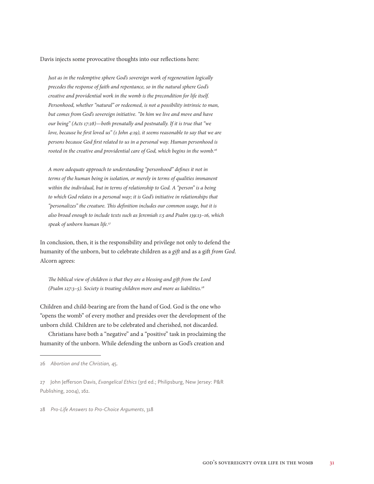Davis injects some provocative thoughts into our reflections here:

*Just as in the redemptive sphere God's sovereign work of regeneration logically precedes the response of faith and repentance, so in the natural sphere God's creative and providential work in the womb is the precondition for life itself. Personhood, whether "natural" or redeemed, is not a possibility intrinsic to man, but comes from God's sovereign initiative. "In him we live and move and have our being" (Acts 17:28)—both prenatally and postnatally. If it is true that "we love, because he first loved us" (1 John 4:19), it seems reasonable to say that we are persons because God first related to us in a personal way. Human personhood is rooted in the creative and providential care of God, which begins in the womb.26*

*A more adequate approach to understanding "personhood" defines it not in terms of the human being in isolation, or merely in terms of qualities immanent within the individual, but in terms of relationship to God. A "person" is a being to which God relates in a personal way; it is God's initiative in relationships that "personalizes" the creature. This definition includes our common usage, but it is also broad enough to include texts such as Jeremiah 1:5 and Psalm 139:13–16, which speak of unborn human life.27*

In conclusion, then, it is the responsibility and privilege not only to defend the humanity of the unborn, but to celebrate children as a *gift* and as a gift *from God*. Alcorn agrees:

*The biblical view of children is that they are a blessing and gift from the Lord (Psalm 127:3–5). Society is treating children more and more as liabilities.28*

Children and child-bearing are from the hand of God. God is the one who "opens the womb" of every mother and presides over the development of the unborn child. Children are to be celebrated and cherished, not discarded.

Christians have both a "negative" and a "positive" task in proclaiming the humanity of the unborn. While defending the unborn as God's creation and

28 *Pro-Life Answers to Pro-Choice Arguments*, 318

<sup>26</sup> *Abortion and the Christian,* 45.

<sup>27</sup> John Jefferson Davis, *Evangelical Ethics* (3rd ed.; Philipsburg, New Jersey: P&R Publishing, 2004), 162.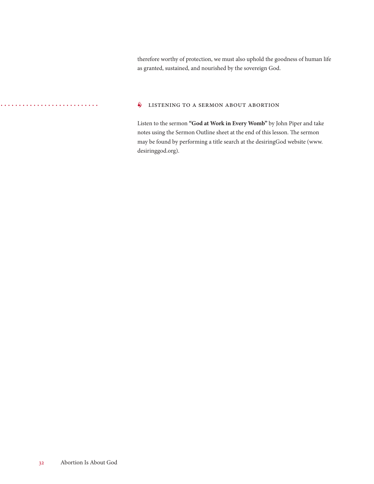therefore worthy of protection, we must also uphold the goodness of human life as granted, sustained, and nourished by the sovereign God.

#### **6** LISTENING TO A SERMON ABOUT ABORTION

Listen to the sermon **"God at Work in Every Womb"** by John Piper and take notes using the Sermon Outline sheet at the end of this lesson. The sermon may be found by performing a title search at the desiringGod website (www. desiringgod.org).

. . . . . . . . . . . . . .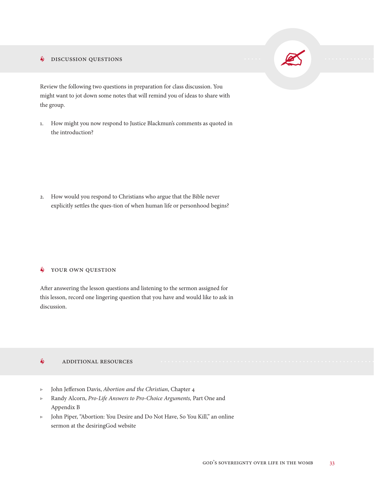#### **S** DISCUSSION QUESTIONS

Review the following two questions in preparation for class discussion. You might want to jot down some notes that will remind you of ideas to share with the group.

1. How might you now respond to Justice Blackmun's comments as quoted in the introduction?

2. How would you respond to Christians who argue that the Bible never explicitly settles the ques-tion of when human life or personhood begins?

#### $\oint$  YOUR OWN QUESTION

After answering the lesson questions and listening to the sermon assigned for this lesson, record one lingering question that you have and would like to ask in discussion.

#### **6** ADDITIONAL RESOURCES

- ▷ John Jefferson Davis, *Abortion and the Christian*, Chapter 4
- ▷ Randy Alcorn, *Pro-Life Answers to Pro-Choice Arguments,* Part One and Appendix B
- ▷ John Piper, "Abortion: You Desire and Do Not Have, So You Kill," an online sermon at the desiringGod website

 $\sum_{i=1}^n$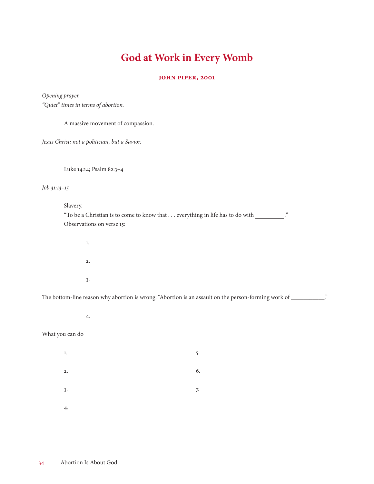### **God at Work in Every Womb**

#### **John Piper, 2001**

*Opening prayer. "Quiet" times in terms of abortion.*

A massive movement of compassion. *Jesus Christ: not a politician, but a Savior.* Luke 14:14; Psalm 82:3–4 *Job 31:13–15* Slavery. "To be a Christian is to come to know that . . . everything in life has to do with ." Observations on verse 15: 1. 2. 3.

The bottom-line reason why abortion is wrong: "Abortion is an assault on the person-forming work of \_\_\_\_\_\_\_\_\_\_\_\_."

4.

#### What you can do

 $1.$  5.  $2.6$  $3.$  7. 4.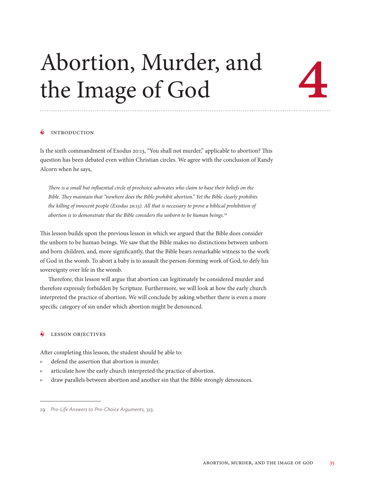# Abortion, Murder, and the Image of God

#### **INTRODUCTION**

Is the sixth commandment of Exodus 20:13, "You shall not murder," applicable to abortion? This question has been debated even within Christian circles. We agree with the conclusion of Randy Alcorn when he says,

*There is a small but influential circle of prochoice advocates who claim to base their beliefs on the Bible. They maintain that "nowhere does the Bible prohibit abortion." Yet the Bible clearly prohibits the killing of innocent people (Exodus 20:13). All that is necessary to prove a biblical prohibition of abortion is to demonstrate that the Bible considers the unborn to be human beings.29*

This lesson builds upon the previous lesson in which we argued that the Bible does consider the unborn to be human beings. We saw that the Bible makes no distinctions between unborn and born children, and, more significantly, that the Bible bears remarkable witness to the work of God in the womb. To abort a baby is to assault the person-forming work of God, to defy his sovereignty over life in the womb.

Therefore, this lesson will argue that abortion can legitimately be considered murder and therefore expressly forbidden by Scripture. Furthermore, we will look at how the early church interpreted the practice of abortion. We will conclude by asking whether there is even a more specific category of sin under which abortion might be denounced.

#### **LESSON OBJECTIVES**

After completing this lesson, the student should be able to:

- ▷ defend the assertion that abortion is murder.
- ▷ articulate how the early church interpreted the practice of abortion.
- ▷ draw parallels between abortion and another sin that the Bible strongly denounces.

<sup>29</sup> *Pro-Life Answers to Pro-Choice Arguments,* 313.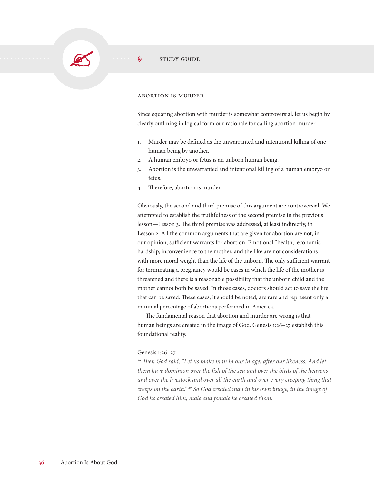#### ABORTION IS MURDER

Since equating abortion with murder is somewhat controversial, let us begin by clearly outlining in logical form our rationale for calling abortion murder.

- 1. Murder may be defined as the unwarranted and intentional killing of one human being by another.
- 2. A human embryo or fetus is an unborn human being.
- 3. Abortion is the unwarranted and intentional killing of a human embryo or fetus.
- 4. Therefore, abortion is murder.

Obviously, the second and third premise of this argument are controversial. We attempted to establish the truthfulness of the second premise in the previous lesson—Lesson 3. The third premise was addressed, at least indirectly, in Lesson 2. All the common arguments that are given for abortion are not, in our opinion, sufficient warrants for abortion. Emotional "health," economic hardship, inconvenience to the mother, and the like are not considerations with more moral weight than the life of the unborn. The only sufficient warrant for terminating a pregnancy would be cases in which the life of the mother is threatened and there is a reasonable possibility that the unborn child and the mother cannot both be saved. In those cases, doctors should act to save the life that can be saved. These cases, it should be noted, are rare and represent only a minimal percentage of abortions performed in America.

The fundamental reason that abortion and murder are wrong is that human beings are created in the image of God. Genesis 1:26–27 establish this foundational reality.

#### Genesis 1:26–27

*26 Then God said, "Let us make man in our image, after our likeness. And let them have dominion over the fish of the sea and over the birds of the heavens and over the livestock and over all the earth and over every creeping thing that creeps on the earth." 27 So God created man in his own image, in the image of God he created him; male and female he created them.*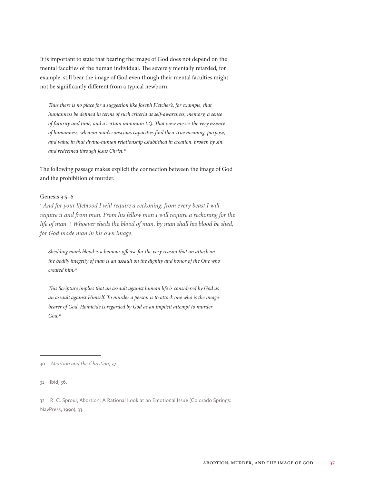It is important to state that bearing the image of God does not depend on the mental faculties of the human individual. The severely mentally retarded, for example, still bear the image of God even though their mental faculties might not be significantly different from a typical newborn.

*Thus there is no place for a suggestion like Joseph Fletcher's, for example, that humanness be defined in terms of such criteria as self-awareness, memory, a sense of futurity and time, and a certain minimum I.Q. That view misses the very essence of humanness, wherein man's conscious capacities find their true meaning, purpose, and value in that divine-human relationship established in creation, broken by sin, and redeemed through Jesus Christ.30*

The following passage makes explicit the connection between the image of God and the prohibition of murder.

#### Genesis 9:5–6

<sup>5</sup> And for your lifeblood I will require a reckoning: from every beast I will *require it and from man. From his fellow man I will require a reckoning for the life of man. 6 Whoever sheds the blood of man, by man shall his blood be shed, for God made man in his own image.*

*Shedding man's blood is a heinous offense for the very reason that an attack on the bodily integrity of man is an assault on the dignity and honor of the One who created him.31*

*This Scripture implies that an assault against human life is considered by God as an assault against Himself. To murder a person is to attack one who is the imagebearer of God. Homicide is regarded by God as an implicit attempt to murder God.32*

<sup>30</sup> *Abortion and the Christian*, 37.

<sup>31</sup> Ibid, 36.

<sup>32</sup> R. C. Sproul, Abortion: A Rational Look at an Emotional Issue (Colorado Springs: NavPress, 1990), 33.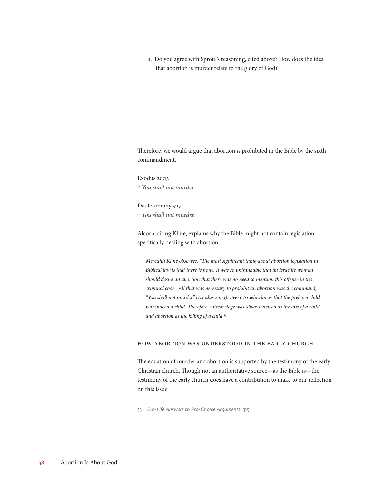1. Do you agree with Sproul's reasoning, cited above? How does the idea that abortion is murder relate to the glory of God?

Therefore, we would argue that abortion *is* prohibited in the Bible by the sixth commandment.

Exodus 20:13 *13 You shall not murder.*

Deuteronomy 5:17 *17 You shall not murder.*

Alcorn, citing Kline, explains why the Bible might not contain legislation specifically dealing with abortion:

*Meredith Kline observes, "The most significant thing about abortion legislation in Biblical law is that there is none. It was so unthinkable that an Israelite woman should desire an abortion that there was no need to mention this offense in the criminal code." All that was necessary to prohibit an abortion was the command, "You shall not murder" (Exodus 20:13). Every Israelite knew that the preborn child was indeed a child. Therefore, miscarriage was always viewed as the loss of a child and abortion as the killing of a child.33*

#### How Abortion Was Understood in the Early Church

The equation of murder and abortion is supported by the testimony of the early Christian church. Though not an authoritative source—as the Bible is—the testimony of the early church does have a contribution to make to our reflection on this issue.

<sup>33</sup> *Pro-Life Answers to Pro-Choice Arguments*, 315.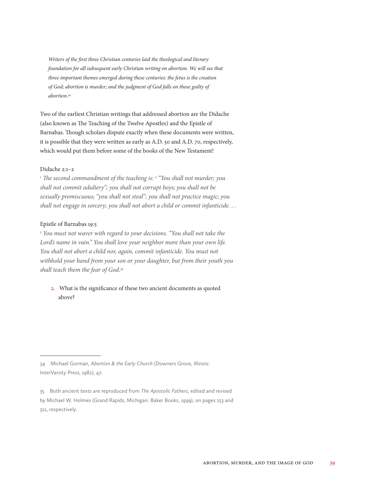*Writers of the first three Christian centuries laid the theological and literary foundation for all subsequent early Christian writing on abortion. We will see that three important themes emerged during these centuries: the fetus is the creation of God; abortion is murder; and the judgment of God falls on those guilty of abortion.34*

Two of the earliest Christian writings that addressed abortion are the Didache (also known as The Teaching of the Twelve Apostles) and the Epistle of Barnabas. Though scholars dispute exactly when these documents were written, it is possible that they were written as early as A.D. 50 and A.D. 70, respectively, which would put them before some of the books of the New Testament!

#### Didache 2:1–2

<sup>1</sup> The second commandment of the teaching is: <sup>2</sup> "You shall not murder; you *shall not commit adultery"; you shall not corrupt boys; you shall not be sexually promiscuous; "you shall not steal"; you shall not practice magic; you shall not engage in sorcery; you shall not abort a child or commit infanticide. . .* 

#### Epistle of Barnabas 19:5

*5 You must not waver with regard to your decisions. "You shall not take the Lord's name in vain." You shall love your neighbor more than your own life. You shall not abort a child nor, again, commit infanticide. You must not withhold your hand from your son or your daughter, but from their youth you shall teach them the fear of God.35*

#### 2. What is the significance of these two ancient documents as quoted above?

<sup>34</sup> Michael Gorman, *Abortion & the Early Church* (Downers Grove, Illinois: InterVarsity Press, 1982), 47.

<sup>35</sup> Both ancient texts are reproduced from *The Apostolic Fathers*, edited and revised by Michael W. Holmes (Grand Rapids, Michigan: Baker Books, 1999), on pages 253 and 321, respectively.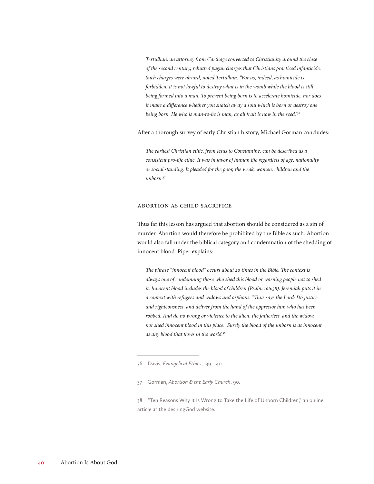*Tertullian, an attorney from Carthage converted to Christianity around the close of the second century, rebutted pagan charges that Christians practiced infanticide. Such charges were absurd, noted Tertullian. "For us, indeed, as homicide is forbidden, it is not lawful to destroy what is in the womb while the blood is still being formed into a man. To prevent being born is to accelerate homicide, nor does it make a difference whether you snatch away a soul which is born or destroy one being born. He who is man-to-be is man, as all fruit is now in the seed."36*

After a thorough survey of early Christian history, Michael Gorman concludes:

*The earliest Christian ethic, from Jesus to Constantine, can be described as a consistent pro-life ethic. It was in favor of human life regardless of age, nationality or social standing. It pleaded for the poor, the weak, women, children and the unborn.37*

#### Abortion as Child Sacrifice

Thus far this lesson has argued that abortion should be considered as a sin of murder. Abortion would therefore be prohibited by the Bible as such. Abortion would also fall under the biblical category and condemnation of the shedding of innocent blood. Piper explains:

*The phrase "innocent blood" occurs about 20 times in the Bible. The context is always one of condemning those who shed this blood or warning people not to shed it. Innocent blood includes the blood of children (Psalm 106:38). Jeremiah puts it in a context with refugees and widows and orphans: "Thus says the Lord: Do justice and righteousness, and deliver from the hand of the oppressor him who has been robbed. And do no wrong or violence to the alien, the fatherless, and the widow, nor shed innocent blood in this place." Surely the blood of the unborn is as innocent as any blood that flows in the world.38*

37 Gorman, *Abortion & the Early Church*, 90.

38 "Ten Reasons Why It Is Wrong to Take the Life of Unborn Children," an online article at the desiringGod website.

<sup>36</sup> Davis, *Evangelical Ethics*, 139–140.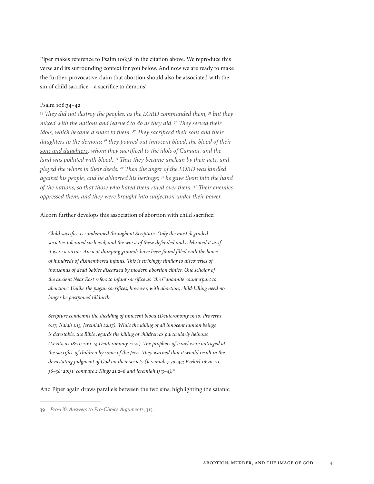Piper makes reference to Psalm 106:38 in the citation above. We reproduce this verse and its surrounding context for you below. And now we are ready to make the further, provocative claim that abortion should also be associated with the sin of child sacrifice—a sacrifice to demons!

#### Psalm 106:34–42

*34 They did not destroy the peoples, as the LORD commanded them, 35 but they mixed with the nations and learned to do as they did. 36 They served their idols, which became a snare to them. 37 They sacrificed their sons and their*  daughters to the demons;<sup>38</sup> they poured out innocent blood, the blood of their *sons and daughters, whom they sacrificed to the idols of Canaan, and the land was polluted with blood. 39 Thus they became unclean by their acts, and played the whore in their deeds. 40 Then the anger of the LORD was kindled against his people, and he abhorred his heritage; 41 he gave them into the hand of the nations, so that those who hated them ruled over them. 42 Their enemies oppressed them, and they were brought into subjection under their power.*

#### Alcorn further develops this association of abortion with child sacrifice:

*Child sacrifice is condemned throughout Scripture. Only the most degraded societies tolerated such evil, and the worst of these defended and celebrated it as if it were a virtue. Ancient dumping grounds have been found filled with the bones of hundreds of dismembered infants. This is strikingly similar to discoveries of thousands of dead babies discarded by modern abortion clinics. One scholar of the ancient Near East refers to infant sacrifice as "the Canaanite counterpart to abortion." Unlike the pagan sacrifices, however, with abortion, child-killing need no longer be postponed till birth.*

*Scripture condemns the shedding of innocent blood (Deuteronomy 19:10; Proverbs 6:17; Isaiah 1:15; Jeremiah 22:17). While the killing of all innocent human beings is detestable, the Bible regards the killing of children as particularly heinous (Leviticus 18:21; 20:1–5; Deuteronomy 12:31). The prophets of Israel were outraged at the sacrifice of children by some of the Jews. They warned that it would result in the devastating judgment of God on their society (Jeremiah 7:30–34; Ezekiel 16:20–21, 36–38; 20:31; compare 2 Kings 21:2–6 and Jeremiah 15:3–4).39*

And Piper again draws parallels between the two sins, highlighting the satanic

<sup>39</sup> *Pro-Life Answers to Pro-Choice Arguments*, 315.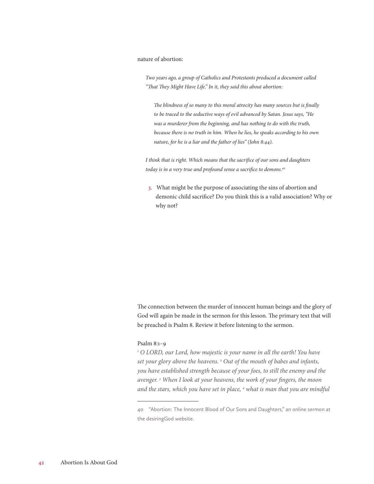#### nature of abortion:

*Two years ago, a group of Catholics and Protestants produced a document called "That They Might Have Life." In it, they said this about abortion:*

*The blindness of so many to this moral atrocity has many sources but is finally to be traced to the seductive ways of evil advanced by Satan. Jesus says, "He was a murderer from the beginning, and has nothing to do with the truth, because there is no truth in him. When he lies, he speaks according to his own nature, for he is a liar and the father of lies" (John 8:44).*

*I think that is right. Which means that the sacrifice of our sons and daughters today is in a very true and profound sense a sacrifice to demons.40*

3. What might be the purpose of associating the sins of abortion and demonic child sacrifice? Do you think this is a valid association? Why or why not?

The connection between the murder of innocent human beings and the glory of God will again be made in the sermon for this lesson. The primary text that will be preached is Psalm 8. Review it before listening to the sermon.

#### Psalm 8:1–9

<sup>1</sup> O LORD, our Lord, how majestic is your name in all the earth! You have *set your glory above the heavens. 2 Out of the mouth of babes and infants, you have established strength because of your foes, to still the enemy and the avenger. 3 When I look at your heavens, the work of your fingers, the moon and the stars, which you have set in place, 4 what is man that you are mindful* 

<sup>40</sup> "Abortion: The Innocent Blood of Our Sons and Daughters," an online sermon at the desiringGod website.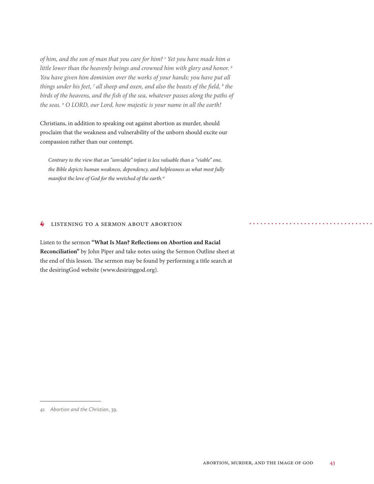*of him, and the son of man that you care for him? 5 Yet you have made him a little lower than the heavenly beings and crowned him with glory and honor. 6 You have given him dominion over the works of your hands; you have put all*  things under his feet, <sup>7</sup> all sheep and oxen, and also the beasts of the field, <sup>8</sup> the *birds of the heavens, and the fish of the sea, whatever passes along the paths of the seas. 9 O LORD, our Lord, how majestic is your name in all the earth!*

Christians, in addition to speaking out against abortion as murder, should proclaim that the weakness and vulnerability of the unborn should excite our compassion rather than our contempt.

*Contrary to the view that an "unviable" infant is less valuable than a "viable" one, the Bible depicts human weakness, dependency, and helplessness as what most fully manifest the love of God for the wretched of the earth.41*

#### **S** LISTENING TO A SERMON ABOUT ABORTION

Listen to the sermon **"What Is Man? Reflections on Abortion and Racial Reconciliation"** by John Piper and take notes using the Sermon Outline sheet at the end of this lesson. The sermon may be found by performing a title search at the desiringGod website (www.desiringgod.org).

<sup>41</sup> *Abortion and the Christian*, 39.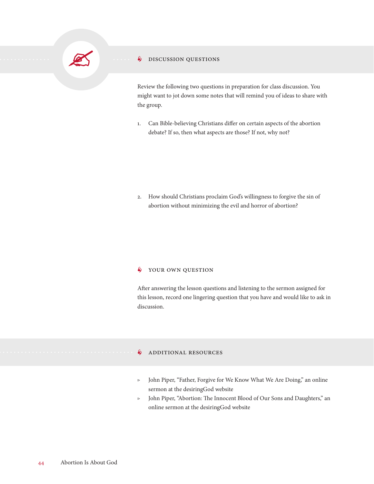

#### **S** DISCUSSION QUESTIONS

Review the following two questions in preparation for class discussion. You might want to jot down some notes that will remind you of ideas to share with the group.

1. Can Bible-believing Christians differ on certain aspects of the abortion debate? If so, then what aspects are those? If not, why not?

2. How should Christians proclaim God's willingness to forgive the sin of abortion without minimizing the evil and horror of abortion?

#### $\oint$  YOUR OWN QUESTION

After answering the lesson questions and listening to the sermon assigned for this lesson, record one lingering question that you have and would like to ask in discussion.

#### **S** ADDITIONAL RESOURCES

- ▷ John Piper, "Father, Forgive for We Know What We Are Doing," an online sermon at the desiringGod website
- ▷ John Piper, "Abortion: The Innocent Blood of Our Sons and Daughters," an online sermon at the desiringGod website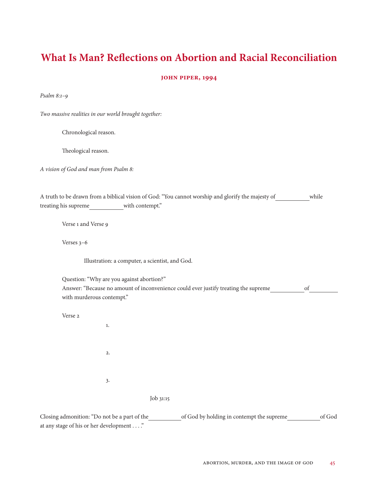### **What Is Man? Reflections on Abortion and Racial Reconciliation**

#### **John Piper, 1994**

*Psalm 8:1–9*

*Two massive realities in our world brought together:*

Chronological reason.

Theological reason.

*A vision of God and man from Psalm 8:*

|                      |                 | A truth to be drawn from a biblical vision of God: "You cannot worship and glorify the majesty of | while |
|----------------------|-----------------|---------------------------------------------------------------------------------------------------|-------|
| treating his supreme | with contempt." |                                                                                                   |       |

Verse 1 and Verse 9

Verses 3–6

Illustration: a computer, a scientist, and God.

Question: "Why are you against abortion?"

| Answer: "Because no amount of inconvenience could ever justify treating the supreme |  |
|-------------------------------------------------------------------------------------|--|
| with murderous contempt."                                                           |  |

Verse 2

| 1. |  |           |
|----|--|-----------|
| 2. |  |           |
| 3. |  |           |
|    |  | Job 31:15 |

Closing admonition: "Do not be a part of the of God by holding in contempt the supreme of God at any stage of his or her development . . . ."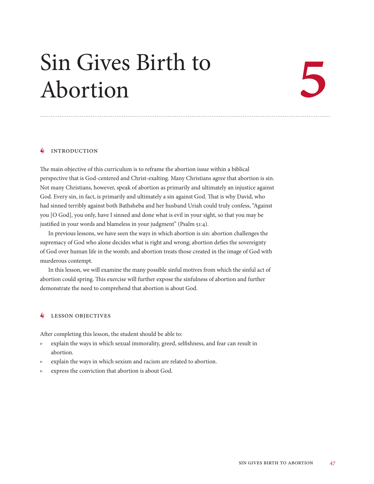## Sin Gives Birth to Abortion

# 5

#### $\S$  INTRODUCTION

The main objective of this curriculum is to reframe the abortion issue within a biblical perspective that is God-centered and Christ-exalting. Many Christians agree that abortion is sin. Not many Christians, however, speak of abortion as primarily and ultimately an injustice against God. Every sin, in fact, is primarily and ultimately a sin against God. That is why David, who had sinned terribly against both Bathsheba and her husband Uriah could truly confess, "Against you [O God], you only, have I sinned and done what is evil in your sight, so that you may be justified in your words and blameless in your judgment" (Psalm 51:4).

In previous lessons, we have seen the ways in which abortion is sin: abortion challenges the supremacy of God who alone decides what is right and wrong; abortion defies the sovereignty of God over human life in the womb; and abortion treats those created in the image of God with murderous contempt.

In this lesson, we will examine the many possible sinful motives from which the sinful act of abortion could spring. This exercise will further expose the sinfulness of abortion and further demonstrate the need to comprehend that abortion is about God.

#### **S** LESSON OBJECTIVES

After completing this lesson, the student should be able to:

- ▷ explain the ways in which sexual immorality, greed, selfishness, and fear can result in abortion.
- ▷ explain the ways in which sexism and racism are related to abortion.
- ▷ express the conviction that abortion is about God.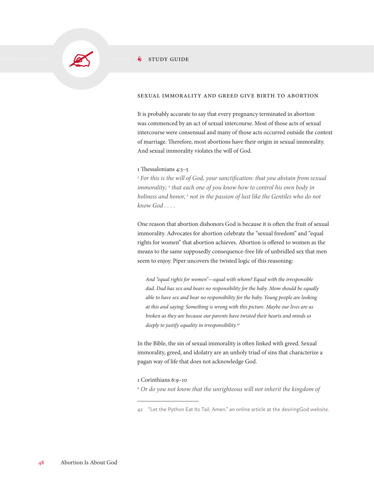

#### $\frac{1}{2}$  STUDY GUIDE

#### Sexual Immorality and Greed Give Birth to Abortion

It is probably accurate to say that every pregnancy terminated in abortion was commenced by an act of sexual intercourse. Most of those acts of sexual intercourse were consensual and many of those acts occurred outside the context of marriage. Therefore, most abortions have their origin in sexual immorality. And sexual immorality violates the will of God.

#### 1 Thessalonians 4:3–5

<sup>3</sup> For this is the will of God, your sanctification: that you abstain from sexual immorality; <sup>4</sup> that each one of you know how to control his own body in *holiness and honor, 5 not in the passion of lust like the Gentiles who do not know God . . . .*

One reason that abortion dishonors God is because it is often the fruit of sexual immorality. Advocates for abortion celebrate the "sexual freedom" and "equal rights for women" that abortion achieves. Abortion is offered to women as the means to the same supposedly consequence-free life of unbridled sex that men seem to enjoy. Piper uncovers the twisted logic of this reasoning:

*And "equal rights for women"—equal with whom? Equal with the irresponsible dad. Dad has sex and bears no responsibility for the baby. Mom should be equally able to have sex and bear no responsibility for the baby. Young people are looking at this and saying: Something is wrong with this picture. Maybe our lives are as broken as they are because our parents have twisted their hearts and minds so deeply to justify equality in irresponsibility.42*

In the Bible, the sin of sexual immorality is often linked with greed. Sexual immorality, greed, and idolatry are an unholy triad of sins that characterize a pagan way of life that does not acknowledge God.

#### 1 Corinthians 6:9–10

<sup>9</sup> Or do you not know that the unrighteous will not inherit the kingdom of

<sup>42</sup> "Let the Python Eat Its Tail. Amen." an online article at the desiringGod website.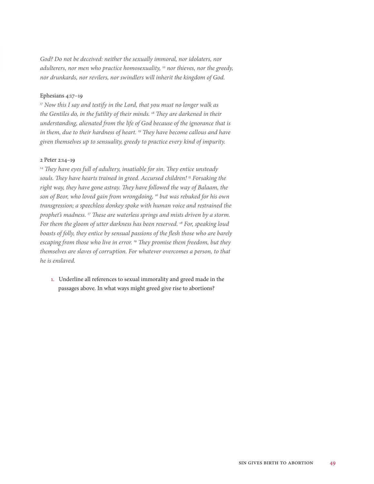God? Do not be deceived: neither the sexually immoral, nor idolaters, nor *adulterers, nor men who practice homosexuality, 10 nor thieves, nor the greedy, nor drunkards, nor revilers, nor swindlers will inherit the kingdom of God.*

#### Ephesians 4:17–19

*17 Now this I say and testify in the Lord, that you must no longer walk as the Gentiles do, in the futility of their minds. 18 They are darkened in their understanding, alienated from the life of God because of the ignorance that is in them, due to their hardness of heart. 19 They have become callous and have given themselves up to sensuality, greedy to practice every kind of impurity.*

#### 2 Peter 2:14–19

*14 They have eyes full of adultery, insatiable for sin. They entice unsteady souls. They have hearts trained in greed. Accursed children! 15 Forsaking the right way, they have gone astray. They have followed the way of Balaam, the son of Beor, who loved gain from wrongdoing, 16 but was rebuked for his own transgression; a speechless donkey spoke with human voice and restrained the prophet's madness. 17 These are waterless springs and mists driven by a storm. For them the gloom of utter darkness has been reserved. 18 For, speaking loud boasts of folly, they entice by sensual passions of the flesh those who are barely escaping from those who live in error. 19 They promise them freedom, but they themselves are slaves of corruption. For whatever overcomes a person, to that he is enslaved.*

1. Underline all references to sexual immorality and greed made in the passages above. In what ways might greed give rise to abortions?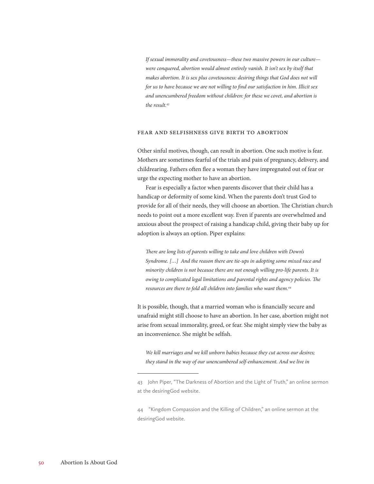*If sexual immorality and covetousness—these two massive powers in our culture were conquered, abortion would almost entirely vanish. It isn't sex by itself that makes abortion. It is sex plus covetousness: desiring things that God does not will for us to have because we are not willing to find our satisfaction in him. Illicit sex and unencumbered freedom without children: for these we covet, and abortion is the result.43*

#### Fear and Selfishness Give Birth to Abortion

Other sinful motives, though, can result in abortion. One such motive is fear. Mothers are sometimes fearful of the trials and pain of pregnancy, delivery, and childrearing. Fathers often flee a woman they have impregnated out of fear or urge the expecting mother to have an abortion.

Fear is especially a factor when parents discover that their child has a handicap or deformity of some kind. When the parents don't trust God to provide for all of their needs, they will choose an abortion. The Christian church needs to point out a more excellent way. Even if parents are overwhelmed and anxious about the prospect of raising a handicap child, giving their baby up for adoption is always an option. Piper explains:

*There are long lists of parents willing to take and love children with Down's Syndrome. […] And the reason there are tie-ups in adopting some mixed race and minority children is not because there are not enough willing pro-life parents. It is owing to complicated legal limitations and parental rights and agency policies. The resources are there to fold all children into families who want them.44*

It is possible, though, that a married woman who is financially secure and unafraid might still choose to have an abortion. In her case, abortion might not arise from sexual immorality, greed, or fear. She might simply view the baby as an inconvenience. She might be selfish.

*We kill marriages and we kill unborn babies because they cut across our desires; they stand in the way of our unencumbered self-enhancement. And we live in* 

<sup>43</sup> John Piper, "The Darkness of Abortion and the Light of Truth," an online sermon at the desiringGod website.

<sup>44</sup> "Kingdom Compassion and the Killing of Children," an online sermon at the desiringGod website.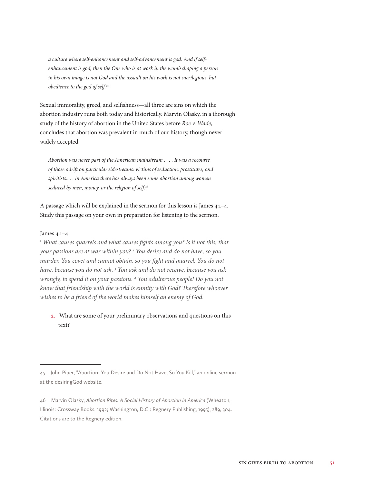*a culture where self-enhancement and self-advancement is god. And if selfenhancement is god, then the One who is at work in the womb shaping a person in his own image is not God and the assault on his work is not sacrilegious, but obedience to the god of self.45*

Sexual immorality, greed, and selfishness—all three are sins on which the abortion industry runs both today and historically. Marvin Olasky, in a thorough study of the history of abortion in the United States before *Roe v. Wade,* concludes that abortion was prevalent in much of our history, though never widely accepted.

*Abortion was never part of the American mainstream . . . . It was a recourse of those adrift on particular sidestreams: victims of seduction, prostitutes, and spiritists.. . . in America there has always been some abortion among women seduced by men, money, or the religion of self.46*

A passage which will be explained in the sermon for this lesson is James 4:1–4. Study this passage on your own in preparation for listening to the sermon.

#### James 4:1–4

<sup>1</sup> What causes quarrels and what causes fights among you? Is it not this, that *your passions are at war within you? 2 You desire and do not have, so you murder. You covet and cannot obtain, so you fight and quarrel. You do not have, because you do not ask. 3 You ask and do not receive, because you ask wrongly, to spend it on your passions. 4 You adulterous people! Do you not know that friendship with the world is enmity with God? Therefore whoever wishes to be a friend of the world makes himself an enemy of God.*

2. What are some of your preliminary observations and questions on this text?

<sup>45</sup> John Piper, "Abortion: You Desire and Do Not Have, So You Kill," an online sermon at the desiringGod website.

<sup>46</sup> Marvin Olasky, *Abortion Rites: A Social History of Abortion in America* (Wheaton, Illinois: Crossway Books, 1992; Washington, D.C.: Regnery Publishing, 1995), 289, 304. Citations are to the Regnery edition.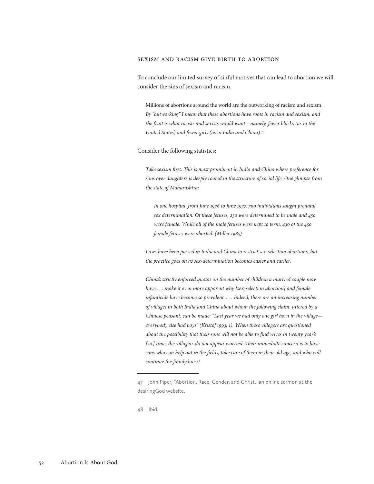#### Sexism and Racism Give Birth to Abortion

To conclude our limited survey of sinful motives that can lead to abortion we will consider the sins of sexism and racism.

Millions of abortions around the world are the outworking of racism and sexism. *By "outworking" I mean that these abortions have roots in racism and sexism, and the fruit is what racists and sexists would want—namely, fewer blacks (as in the United States) and fewer girls (as in India and China).47*

#### Consider the following statistics:

*Take sexism first. This is most prominent in India and China where preference for sons over daughters is deeply rooted in the structure of social life. One glimpse from the state of Maharashtra:*

*In one hospital, from June 1976 to June 1977, 700 individuals sought prenatal sex determination. Of these fetuses, 250 were determined to be male and 450 were female. While all of the male fetuses were kept to term, 430 of the 450 female fetuses were aborted. (Miller 1985)*

Laws have been passed in India and China to restrict sex-selection abortions, but *the practice goes on as sex-determination becomes easier and earlier.*

*China's strictly enforced quotas on the number of children a married couple may have . . . make it even more apparent why [sex-selection abortion] and female infanticide have become so prevalent. . . . Indeed, there are an increasing number of villages in both India and China about whom the following claim, uttered by a Chinese peasant, can be made: "Last year we had only one girl born in the village everybody else had boys" (Kristof 1993, 1). When these villagers are questioned about the possibility that their sons will not be able to find wives in twenty year's*  [sic] time, the villagers do not appear worried. Their immediate concern is to have sons who can help out in the fields, take care of them in their old age, and who will *continue the family line.48*

48 Ibid.

<sup>47</sup> John Piper, "Abortion, Race, Gender, and Christ," an online sermon at the desiringGod website.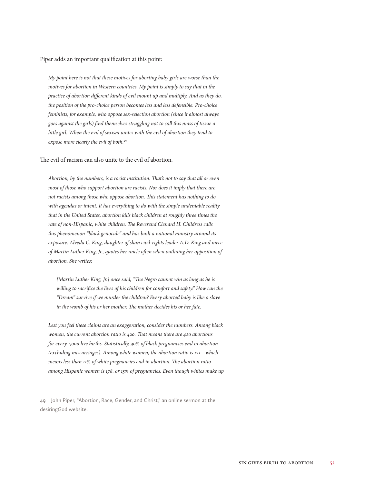#### Piper adds an important qualification at this point:

*My point here is not that these motives for aborting baby girls are worse than the motives for abortion in Western countries. My point is simply to say that in the practice of abortion different kinds of evil mount up and multiply. And as they do, the position of the pro-choice person becomes less and less defensible. Pro-choice feminists, for example, who oppose sex-selection abortion (since it almost always goes against the girls) find themselves struggling not to call this mass of tissue a little girl. When the evil of sexism unites with the evil of abortion they tend to expose more clearly the evil of both.49*

The evil of racism can also unite to the evil of abortion.

*Abortion, by the numbers, is a racist institution. That's not to say that all or even most of those who support abortion are racists. Nor does it imply that there are not racists among those who oppose abortion. This statement has nothing to do with agendas or intent. It has everything to do with the simple undeniable reality that in the United States, abortion kills black children at roughly three times the rate of non-Hispanic, white children. The Reverend Clenard H. Childress calls this phenomenon "black genocide" and has built a national ministry around its exposure. Alveda C. King, daughter of slain civil-rights leader A.D. King and niece of Martin Luther King, Jr., quotes her uncle often when outlining her opposition of abortion. She writes:*

*[Martin Luther King, Jr.] once said, "The Negro cannot win as long as he is willing to sacrifice the lives of his children for comfort and safety." How can the "Dream" survive if we murder the children? Every aborted baby is like a slave in the womb of his or her mother. The mother decides his or her fate.*

*Lest you feel these claims are an exaggeration, consider the numbers. Among black women, the current abortion ratio is 420. That means there are 420 abortions for every 1,000 live births. Statistically, 30% of black pregnancies end in abortion (excluding miscarriages). Among white women, the abortion ratio is 121—which means less than 11% of white pregnancies end in abortion. The abortion ratio among Hispanic women is 178, or 15% of pregnancies. Even though whites make up* 

<sup>49</sup> John Piper, "Abortion, Race, Gender, and Christ," an online sermon at the desiringGod website.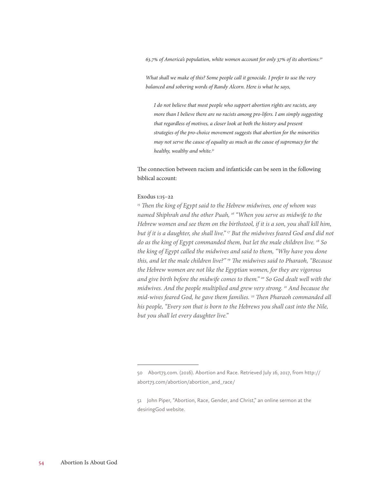*63.7% of America's population, white women account for only 37% of its abortions.50*

*What shall we make of this? Some people call it genocide. I prefer to use the very balanced and sobering words of Randy Alcorn. Here is what he says,*

*I do not believe that most people who support abortion rights are racists, any more than I believe there are no racists among pro-lifers. I am simply suggesting that regardless of motives, a closer look at both the history and present strategies of the pro-choice movement suggests that abortion for the minorities may not serve the cause of equality as much as the cause of supremacy for the healthy, wealthy and white.51*

The connection between racism and infanticide can be seen in the following biblical account:

#### Exodus 1:15–22

*15 Then the king of Egypt said to the Hebrew midwives, one of whom was named Shiphrah and the other Puah, 16 "When you serve as midwife to the Hebrew women and see them on the birthstool, if it is a son, you shall kill him, but if it is a daughter, she shall live." 17 But the midwives feared God and did not do as the king of Egypt commanded them, but let the male children live. 18 So the king of Egypt called the midwives and said to them, "Why have you done this, and let the male children live?" 19 The midwives said to Pharaoh, "Because the Hebrew women are not like the Egyptian women, for they are vigorous and give birth before the midwife comes to them." 20 So God dealt well with the midwives. And the people multiplied and grew very strong. 21 And because the mid-wives feared God, he gave them families. 22 Then Pharaoh commanded all his people, "Every son that is born to the Hebrews you shall cast into the Nile, but you shall let every daughter live."*

<sup>50</sup> Abort73.com. (2016). Abortion and Race. Retrieved July 16, 2017, from http:// abort73.com/abortion/abortion\_and\_race/

<sup>51</sup> John Piper, "Abortion, Race, Gender, and Christ," an online sermon at the desiringGod website.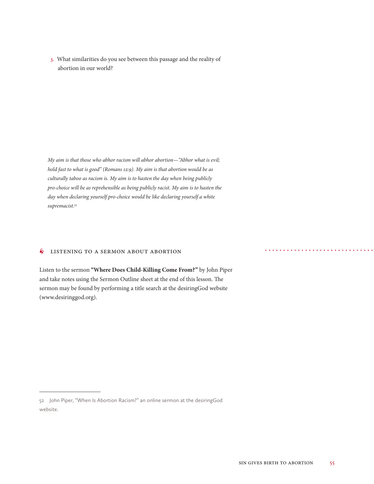3. What similarities do you see between this passage and the reality of abortion in our world?

*My aim is that those who abhor racism will abhor abortion—"Abhor what is evil; hold fast to what is good" (Romans 12:9). My aim is that abortion would be as culturally taboo as racism is. My aim is to hasten the day when being publicly pro-choice will be as reprehensible as being publicly racist. My aim is to hasten the day when declaring yourself pro-choice would be like declaring yourself a white supremacist.52*

#### **S** LISTENING TO A SERMON ABOUT ABORTION

Listen to the sermon **"Where Does Child-Killing Come From?"** by John Piper and take notes using the Sermon Outline sheet at the end of this lesson. The sermon may be found by performing a title search at the desiringGod website (www.desiringgod.org).

<sup>52</sup> John Piper, "When Is Abortion Racism?" an online sermon at the desiringGod website.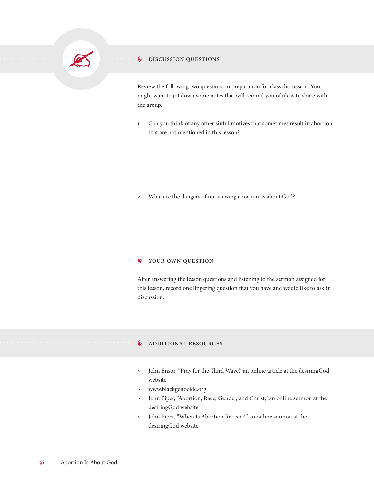#### **S** DISCUSSION QUESTIONS

Review the following two questions in preparation for class discussion. You might want to jot down some notes that will remind you of ideas to share with the group.

1. Can you think of any other sinful motives that sometimes result in abortion that are not mentioned in this lesson?

2. What are the dangers of not viewing abortion as about God?

#### $\oint$  YOUR OWN QUESTION

After answering the lesson questions and listening to the sermon assigned for this lesson, record one lingering question that you have and would like to ask in discussion.

#### **§** ADDITIONAL RESOURCES

- ▷ John Ensor, "Pray for the Third Wave," an online article at the desiringGod website
- ▷ www.blackgenocide.org
- ▷ John Piper, "Abortion, Race, Gender, and Christ," an online sermon at the desiringGod website
- ▷ John Piper, "When Is Abortion Racism?" an online sermon at the desiringGod website.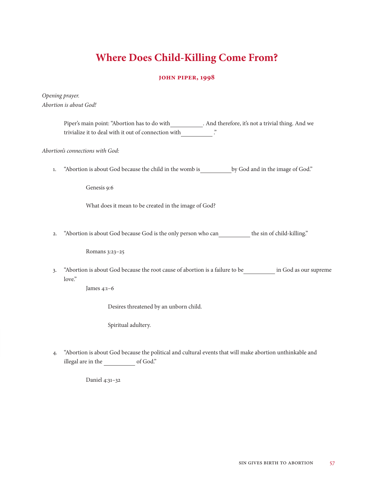## **Where Does Child-Killing Come From?**

#### **John Piper, 1998**

*Opening prayer. Abortion is about God!*

> Piper's main point: "Abortion has to do with \_\_\_\_\_\_\_\_\_\_\_. And therefore, it's not a trivial thing. And we trivialize it to deal with it out of connection with ...  $\dddot{ }$

*Abortion's connections with God:*

1. "Abortion is about God because the child in the womb is by God and in the image of God."

Genesis 9:6

What does it mean to be created in the image of God?

2. "Abortion is about God because God is the only person who can the sin of child-killing."

Romans 3:23–25

3. "Abortion is about God because the root cause of abortion is a failure to be in God as our supreme love."

James 4:1–6

Desires threatened by an unborn child.

Spiritual adultery.

4. "Abortion is about God because the political and cultural events that will make abortion unthinkable and illegal are in the of God."

Daniel 4:31–32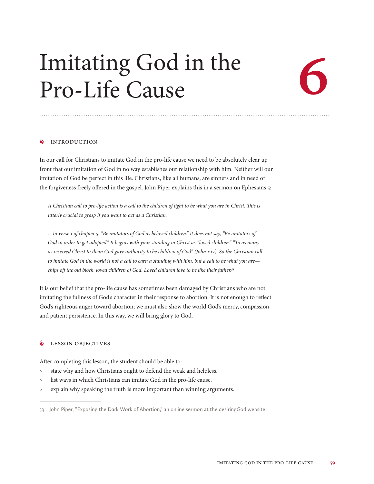# Imitating God in the<br>Pro-Life Cause Pro-Life Cause



#### **INTRODUCTION**

In our call for Christians to imitate God in the pro-life cause we need to be absolutely clear up front that our imitation of God in no way establishes our relationship with him. Neither will our imitation of God be perfect in this life. Christians, like all humans, are sinners and in need of the forgiveness freely offered in the gospel. John Piper explains this in a sermon on Ephesians 5:

*A Christian call to pro-life action is a call to the children of light to be what you are in Christ. This is utterly crucial to grasp if you want to act as a Christian.* 

*…In verse 1 of chapter 5: "Be imitators of God as beloved children." It does not say, "Be imitators of God in order to get adopted." It begins with your standing in Christ as "loved children." "To as many as received Christ to them God gave authority to be children of God" (John 1:12). So the Christian call to imitate God in the world is not a call to earn a standing with him, but a call to be what you are chips off the old block, loved children of God. Loved children love to be like their father.53*

It is our belief that the pro-life cause has sometimes been damaged by Christians who are not imitating the fullness of God's character in their response to abortion. It is not enough to reflect God's righteous anger toward abortion; we must also show the world God's mercy, compassion, and patient persistence. In this way, we will bring glory to God.

#### • Lesson Objectives

After completing this lesson, the student should be able to:

- state why and how Christians ought to defend the weak and helpless.
- ▷ list ways in which Christians can imitate God in the pro-life cause.
- $\triangleright$  explain why speaking the truth is more important than winning arguments.

<sup>53</sup> John Piper, "Exposing the Dark Work of Abortion," an online sermon at the desiringGod website.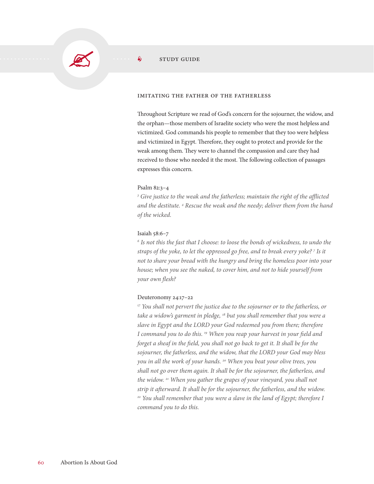#### $\hat{\mathbf{s}}$  study guide

#### Imitating the Father of the Fatherless

Throughout Scripture we read of God's concern for the sojourner, the widow, and the orphan—those members of Israelite society who were the most helpless and victimized. God commands his people to remember that they too were helpless and victimized in Egypt. Therefore, they ought to protect and provide for the weak among them. They were to channel the compassion and care they had received to those who needed it the most. The following collection of passages expresses this concern.

#### Psalm 82:3–4

<sup>3</sup> Give justice to the weak and the fatherless; maintain the right of the afflicted *and the destitute. 4 Rescue the weak and the needy; deliver them from the hand of the wicked.*

#### Isaiah 58:6–7

*6 Is not this the fast that I choose: to loose the bonds of wickedness, to undo the straps of the yoke, to let the oppressed go free, and to break every yoke? 7 Is it not to share your bread with the hungry and bring the homeless poor into your house; when you see the naked, to cover him, and not to hide yourself from your own flesh?*

#### Deuteronomy 24:17–22

*17 You shall not pervert the justice due to the sojourner or to the fatherless, or take a widow's garment in pledge, 18 but you shall remember that you were a slave in Egypt and the LORD your God redeemed you from there; therefore I command you to do this. 19 When you reap your harvest in your field and forget a sheaf in the field, you shall not go back to get it. It shall be for the sojourner, the fatherless, and the widow, that the LORD your God may bless you in all the work of your hands. 20 When you beat your olive trees, you shall not go over them again. It shall be for the sojourner, the fatherless, and the widow. 21 When you gather the grapes of your vineyard, you shall not strip it afterward. It shall be for the sojourner, the fatherless, and the widow.*  <sup>22</sup> You shall remember that you were a slave in the land of Egypt; therefore I *command you to do this.*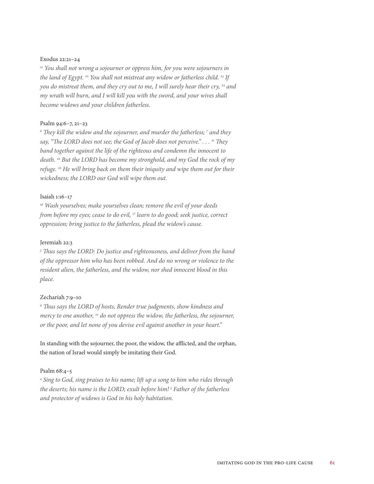#### Exodus 22:21–24

*21 You shall not wrong a sojourner or oppress him, for you were sojourners in the land of Egypt. 22 You shall not mistreat any widow or fatherless child. 23 If you do mistreat them, and they cry out to me, I will surely hear their cry, 24 and my wrath will burn, and I will kill you with the sword, and your wives shall become widows and your children fatherless.*

#### Psalm 94:6–7, 21–23

<sup>6</sup> They kill the widow and the sojourner, and murder the fatherless; <sup>7</sup> and they *say, "The LORD does not see; the God of Jacob does not perceive." . . . 21 They band together against the life of the righteous and condemn the innocent to death. 22 But the LORD has become my stronghold, and my God the rock of my refuge. 23 He will bring back on them their iniquity and wipe them out for their wickedness; the LORD our God will wipe them out.*

#### Isaiah 1:16–17

*16 Wash yourselves; make yourselves clean; remove the evil of your deeds from before my eyes; cease to do evil, 17 learn to do good; seek justice, correct oppression; bring justice to the fatherless, plead the widow's cause.*

#### Jeremiah 22:3

<sup>3</sup> Thus says the LORD: Do justice and righteousness, and deliver from the hand *of the oppressor him who has been robbed. And do no wrong or violence to the resident alien, the fatherless, and the widow, nor shed innocent blood in this place.*

#### Zechariah 7:9–10

<sup>9</sup> Thus says the LORD of hosts, Render true judgments, show kindness and *mercy to one another, 10 do not oppress the widow, the fatherless, the sojourner, or the poor, and let none of you devise evil against another in your heart."*

In standing with the sojourner, the poor, the widow, the afflicted, and the orphan, the nation of Israel would simply be imitating their God.

#### Psalm 68:4–5

*4 Sing to God, sing praises to his name; lift up a song to him who rides through the deserts; his name is the LORD; exult before him! 5 Father of the fatherless and protector of widows is God in his holy habitation.*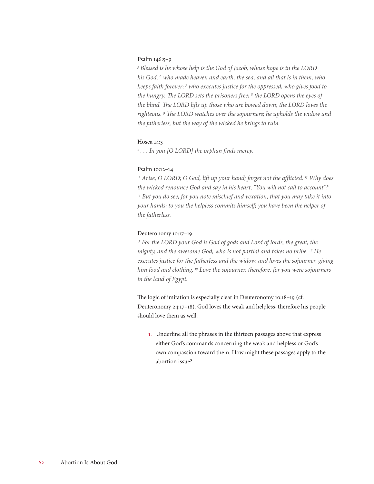#### Psalm 146:5–9

<sup>5</sup> Blessed is he whose help is the God of Jacob, whose hope is in the LORD *his God, 6 who made heaven and earth, the sea, and all that is in them, who keeps faith forever; 7 who executes justice for the oppressed, who gives food to the hungry. The LORD sets the prisoners free; 8 the LORD opens the eyes of the blind. The LORD lifts up those who are bowed down; the LORD loves the righteous. 9 The LORD watches over the sojourners; he upholds the widow and the fatherless, but the way of the wicked he brings to ruin.*

#### Hosea 14:3

*3 . . . In you [O LORD] the orphan finds mercy.*

#### Psalm 10:12–14

*12 Arise, O LORD; O God, lift up your hand; forget not the afflicted. 13 Why does the wicked renounce God and say in his heart, "You will not call to account"? 14 But you do see, for you note mischief and vexation, that you may take it into your hands; to you the helpless commits himself; you have been the helper of the fatherless.*

#### Deuteronomy 10:17–19

<sup>17</sup> For the LORD your God is God of gods and Lord of lords, the great, the *mighty, and the awesome God, who is not partial and takes no bribe. 18 He executes justice for the fatherless and the widow, and loves the sojourner, giving him food and clothing. 19 Love the sojourner, therefore, for you were sojourners in the land of Egypt.*

The logic of imitation is especially clear in Deuteronomy 10:18–19 (cf. Deuteronomy 24:17–18). God loves the weak and helpless, therefore his people should love them as well.

1. Underline all the phrases in the thirteen passages above that express either God's commands concerning the weak and helpless or God's own compassion toward them. How might these passages apply to the abortion issue?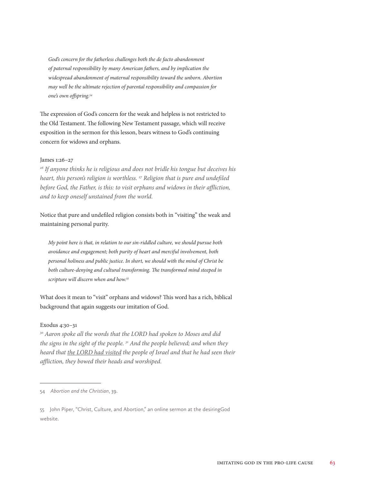*God's concern for the fatherless challenges both the de facto abandonment of paternal responsibility by many American fathers, and by implication the widespread abandonment of maternal responsibility toward the unborn. Abortion may well be the ultimate rejection of parental responsibility and compassion for one's own offspring.54*

The expression of God's concern for the weak and helpless is not restricted to the Old Testament. The following New Testament passage, which will receive exposition in the sermon for this lesson, bears witness to God's continuing concern for widows and orphans.

#### James 1:26–27

*26 If anyone thinks he is religious and does not bridle his tongue but deceives his heart, this person's religion is worthless. 27 Religion that is pure and undefiled before God, the Father, is this: to visit orphans and widows in their affliction, and to keep oneself unstained from the world.*

Notice that pure and undefiled religion consists both in "visiting" the weak and maintaining personal purity.

*My point here is that, in relation to our sin-riddled culture, we should pursue both avoidance and engagement; both purity of heart and merciful involvement, both personal holiness and public justice. In short, we should with the mind of Christ be both culture-denying and cultural transforming. The transformed mind steeped in scripture will discern when and how.55*

What does it mean to "visit" orphans and widows? This word has a rich, biblical background that again suggests our imitation of God.

#### Exodus 4:30–31

*30 Aaron spoke all the words that the LORD had spoken to Moses and did the signs in the sight of the people. 31 And the people believed; and when they heard that the LORD had visited the people of Israel and that he had seen their affliction, they bowed their heads and worshiped.*

<sup>54</sup> *Abortion and the Christian*, 39.

<sup>55</sup> John Piper, "Christ, Culture, and Abortion," an online sermon at the desiringGod website.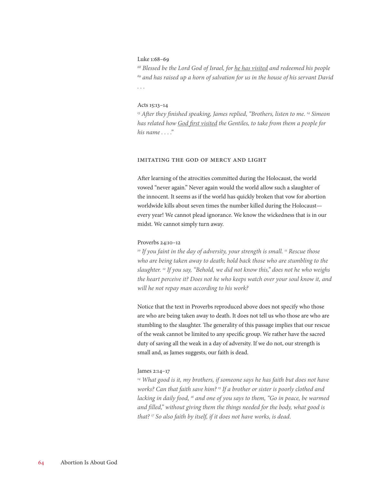#### Luke 1:68–69

*68 Blessed be the Lord God of Israel, for he has visited and redeemed his people 69 and has raised up a horn of salvation for us in the house of his servant David . . .*

#### Acts 15:13–14

<sup>13</sup> After they finished speaking, James replied, "Brothers, listen to me. <sup>14</sup> Simeon *has related how God first visited the Gentiles, to take from them a people for his name . . . ."*

#### Imitating the God of Mercy and Light

After learning of the atrocities committed during the Holocaust, the world vowed "never again." Never again would the world allow such a slaughter of the innocent. It seems as if the world has quickly broken that vow for abortion worldwide kills about seven times the number killed during the Holocaust every year! We cannot plead ignorance. We know the wickedness that is in our midst. We cannot simply turn away.

#### Proverbs 24:10–12

<sup>10</sup> If you faint in the day of adversity, your strength is small. <sup>11</sup> Rescue those *who are being taken away to death; hold back those who are stumbling to the slaughter. 12 If you say, "Behold, we did not know this," does not he who weighs the heart perceive it? Does not he who keeps watch over your soul know it, and will he not repay man according to his work?*

Notice that the text in Proverbs reproduced above does not specify who those are who are being taken away to death. It does not tell us who those are who are stumbling to the slaughter. The generality of this passage implies that our rescue of the weak cannot be limited to any specific group. We rather have the sacred duty of saving all the weak in a day of adversity. If we do not, our strength is small and, as James suggests, our faith is dead.

#### James 2:14–17

*14 What good is it, my brothers, if someone says he has faith but does not have works? Can that faith save him? 15 If a brother or sister is poorly clothed and lacking in daily food, 16 and one of you says to them, "Go in peace, be warmed and filled," without giving them the things needed for the body, what good is that? 17 So also faith by itself, if it does not have works, is dead.*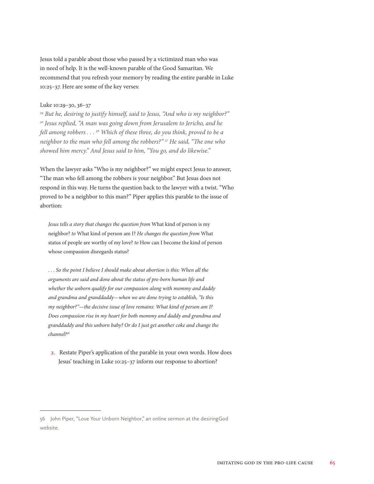Jesus told a parable about those who passed by a victimized man who was in need of help. It is the well-known parable of the Good Samaritan. We recommend that you refresh your memory by reading the entire parable in Luke 10:25–37. Here are some of the key verses:

#### Luke 10:29–30, 36–37

*29 But he, desiring to justify himself, said to Jesus, "And who is my neighbor?" 30 Jesus replied, "A man was going down from Jerusalem to Jericho, and he fell among robbers . . . 36 Which of these three, do you think, proved to be a neighbor to the man who fell among the robbers?" 37 He said, "The one who showed him mercy." And Jesus said to him, "You go, and do likewise."*

When the lawyer asks "Who is my neighbor?" we might expect Jesus to answer, "The man who fell among the robbers is your neighbor." But Jesus does not respond in this way. He turns the question back to the lawyer with a twist. "Who proved to be a neighbor to this man?" Piper applies this parable to the issue of abortion:

*Jesus tells a story that changes the question from* What kind of person is my neighbor? *to* What kind of person am I? *He changes the question from* What status of people are worthy of my love? *to* How can I become the kind of person whose compassion disregards status?

*. . . So the point I believe I should make about abortion is this: When all the arguments are said and done about the status of pre-born human life and whether the unborn qualify for our compassion along with mommy and daddy and grandma and granddaddy—when we are done trying to establish, "Is this my neighbor?"—the decisive issue of love remains: What kind of person am I? Does compassion rise in my heart for both mommy and daddy and grandma and granddaddy and this unborn baby? Or do I just get another coke and change the channel?56*

2. Restate Piper's application of the parable in your own words. How does Jesus' teaching in Luke 10:25–37 inform our response to abortion?

<sup>56</sup> John Piper, "Love Your Unborn Neighbor," an online sermon at the desiringGod website.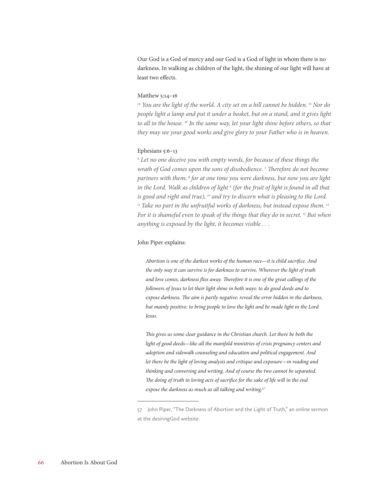Our God is a God of mercy and our God is a God of light in whom there is no darkness. In walking as children of the light, the shining of our light will have at least two effects.

#### Matthew 5:14–16

*14 You are the light of the world. A city set on a hill cannot be hidden. 15 Nor do people light a lamp and put it under a basket, but on a stand, and it gives light to all in the house. 16 In the same way, let your light shine before others, so that they may see your good works and give glory to your Father who is in heaven.*

#### Ephesians 5:6–13

*6 Let no one deceive you with empty words, for because of these things the wrath of God comes upon the sons of disobedience. 7 Therefore do not become partners with them; 8 for at one time you were darkness, but now you are light in the Lord. Walk as children of light 9 (for the fruit of light is found in all that is good and right and true), 10 and try to discern what is pleasing to the Lord.*  <sup>11</sup> Take no part in the unfruitful works of darkness, but instead expose them.<sup>12</sup> *For it is shameful even to speak of the things that they do in secret. 13 But when anything is exposed by the light, it becomes visible . . .*

#### John Piper explains:

*Abortion is one of the darkest works of the human race—it is child sacrifice. And the only way it can survive is for darkness to survive. Wherever the light of truth and love comes, darkness flies away. Therefore it is one of the great callings of the followers of Jesus to let their light shine in both ways: to do good deeds and to expose darkness. The aim is partly negative: reveal the error hidden in the darkness, but mainly positive: to bring people to love the light and be made light in the Lord Jesus.*

*This gives us some clear guidance in the Christian church. Let there be both the light of good deeds—like all the manifold ministries of crisis pregnancy centers and adoption and sidewalk counseling and education and political engagement. And let there be the light of loving analysis and critique and exposure—in reading and thinking and conversing and writing. And of course the two cannot be separated. The doing of truth in loving acts of sacrifice for the sake of life will in the end expose the darkness as much as all talking and writing.57*

<sup>57</sup> John Piper, "The Darkness of Abortion and the Light of Truth," an online sermon at the desiringGod website.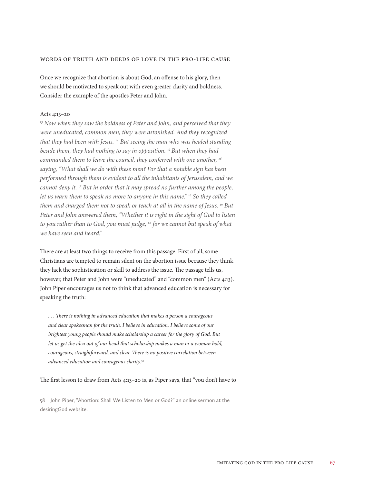#### Words of Truth and Deeds of Love in the Pro-Life Cause

Once we recognize that abortion is about God, an offense to his glory, then we should be motivated to speak out with even greater clarity and boldness. Consider the example of the apostles Peter and John.

#### Acts 4:13–20

<sup>13</sup> Now when they saw the boldness of Peter and John, and perceived that they *were uneducated, common men, they were astonished. And they recognized that they had been with Jesus. 14 But seeing the man who was healed standing beside them, they had nothing to say in opposition. 15 But when they had commanded them to leave the council, they conferred with one another, 16 saying, "What shall we do with these men? For that a notable sign has been performed through them is evident to all the inhabitants of Jerusalem, and we cannot deny it. 17 But in order that it may spread no further among the people, let us warn them to speak no more to anyone in this name." 18 So they called them and charged them not to speak or teach at all in the name of Jesus. 19 But Peter and John answered them, "Whether it is right in the sight of God to listen to you rather than to God, you must judge, 20 for we cannot but speak of what we have seen and heard."*

There are at least two things to receive from this passage. First of all, some Christians are tempted to remain silent on the abortion issue because they think they lack the sophistication or skill to address the issue. The passage tells us, however, that Peter and John were "uneducated" and "common men" (Acts 4:13). John Piper encourages us not to think that advanced education is necessary for speaking the truth:

*. . . There is nothing in advanced education that makes a person a courageous and clear spokesman for the truth. I believe in education. I believe some of our brightest young people should make scholarship a career for the glory of God. But let us get the idea out of our head that scholarship makes a man or a woman bold, courageous, straightforward, and clear. There is no positive correlation between advanced education and courageous clarity.58*

The first lesson to draw from Acts 4:13–20 is, as Piper says, that "you don't have to

<sup>58</sup> John Piper, "Abortion: Shall We Listen to Men or God?" an online sermon at the desiringGod website.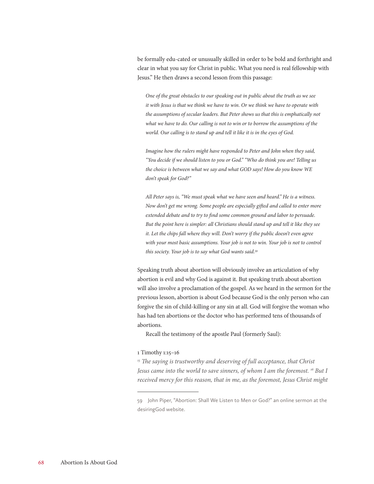be formally edu-cated or unusually skilled in order to be bold and forthright and clear in what you say for Christ in public. What you need is real fellowship with Jesus." He then draws a second lesson from this passage:

*One of the great obstacles to our speaking out in public about the truth as we see it with Jesus is that we think we have to win. Or we think we have to operate with the assumptions of secular leaders. But Peter shows us that this is emphatically not what we have to do. Our calling is not to win or to borrow the assumptions of the world. Our calling is to stand up and tell it like it is in the eyes of God.*

*Imagine how the rulers might have responded to Peter and John when they said, "You decide if we should listen to you or God." "Who do think you are! Telling us the choice is between what we say and what GOD says! How do you know WE don't speak for God?"*

*All Peter says is, "We must speak what we have seen and heard." He is a witness. Now don't get me wrong. Some people are especially gifted and called to enter more extended debate and to try to find some common ground and labor to persuade. But the point here is simpler: all Christians should stand up and tell it like they see it. Let the chips fall where they will. Don't worry if the public doesn't even agree with your most basic assumptions. Your job is not to win. Your job is not to control this society. Your job is to say what God wants said.59*

Speaking truth about abortion will obviously involve an articulation of why abortion is evil and why God is against it. But speaking truth about abortion will also involve a proclamation of the gospel. As we heard in the sermon for the previous lesson, abortion is about God because God is the only person who can forgive the sin of child-killing or any sin at all. God will forgive the woman who has had ten abortions or the doctor who has performed tens of thousands of abortions.

Recall the testimony of the apostle Paul (formerly Saul):

#### 1 Timothy 1:15–16

<sup>15</sup> The saying is trustworthy and deserving of full acceptance, that Christ *Jesus came into the world to save sinners, of whom I am the foremost. 16 But I received mercy for this reason, that in me, as the foremost, Jesus Christ might* 

<sup>59</sup> John Piper, "Abortion: Shall We Listen to Men or God?" an online sermon at the desiringGod website.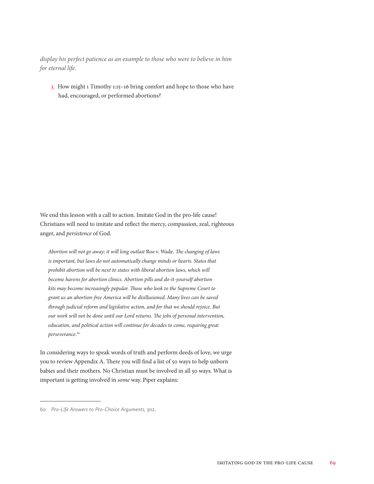*display his perfect patience as an example to those who were to believe in him for eternal life.*

3. How might 1 Timothy 1:15–16 bring comfort and hope to those who have had, encouraged, or performed abortions?

We end this lesson with a call to action. Imitate God in the pro-life cause! Christians will need to imitate and reflect the mercy, compassion, zeal, righteous anger, and *persistence* of God.

*Abortion will not go away; it will long outlast* Roe v. Wade*. The changing of laws is important, but laws do not automatically change minds or hearts. States that prohibit abortion will be next to states with liberal abortion laws, which will become havens for abortion clinics. Abortion pills and do-it-yourself abortion kits may become increasingly popular. Those who look to the Supreme Court to grant us an abortion-free America will be disillusioned. Many lives can be saved through judicial reform and legislative action, and for that we should rejoice. But our work will not be done until our Lord returns. The jobs of personal intervention, education, and political action will continue for decades to come, requiring great perseverance.60*

In considering ways to speak words of truth and perform deeds of love, we urge you to review Appendix A. There you will find a list of 50 ways to help unborn babies and their mothers. No Christian must be involved in all 50 ways. What is important is getting involved in *some* way. Piper explains:

<sup>60</sup> *Pro-Life Answers to Pro-Choice Arguments,* 302.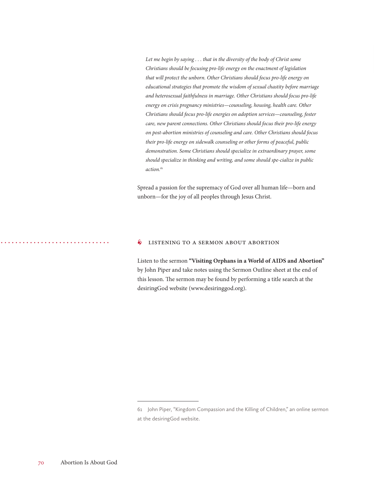Let me begin by saying . . . that in the diversity of the body of Christ some *Christians should be focusing pro-life energy on the enactment of legislation that will protect the unborn. Other Christians should focus pro-life energy on educational strategies that promote the wisdom of sexual chastity before marriage and heterosexual faithfulness in marriage. Other Christians should focus pro-life energy on crisis pregnancy ministries—counseling, housing, health care. Other Christians should focus pro-life energies on adoption services—counseling, foster care, new parent connections. Other Christians should focus their pro-life energy on post-abortion ministries of counseling and care. Other Christians should focus their pro-life energy on sidewalk counseling or other forms of peaceful, public demonstration. Some Christians should specialize in extraordinary prayer, some should specialize in thinking and writing, and some should spe-cialize in public action.61*

Spread a passion for the supremacy of God over all human life—born and unborn—for the joy of all peoples through Jesus Christ.

#### **6** LISTENING TO A SERMON ABOUT ABORTION

Listen to the sermon **"Visiting Orphans in a World of AIDS and Abortion"** by John Piper and take notes using the Sermon Outline sheet at the end of this lesson. The sermon may be found by performing a title search at the desiringGod website (www.desiringgod.org).

<sup>61</sup> John Piper, "Kingdom Compassion and the Killing of Children," an online sermon at the desiringGod website.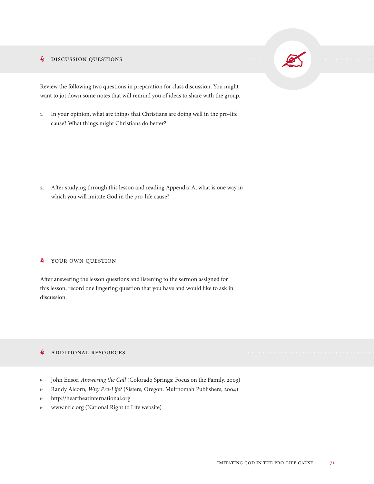#### **S** DISCUSSION QUESTIONS



Review the following two questions in preparation for class discussion. You might want to jot down some notes that will remind you of ideas to share with the group.

1. In your opinion, what are things that Christians are doing well in the pro-life cause? What things might Christians do better?

2. After studying through this lesson and reading Appendix A, what is one way in which you will imitate God in the pro-life cause?

#### $\oint$  YOUR OWN QUESTION

After answering the lesson questions and listening to the sermon assigned for this lesson, record one lingering question that you have and would like to ask in discussion.

#### **S** ADDITIONAL RESOURCES

- ▷ John Ensor, *Answering the Call* (Colorado Springs: Focus on the Family, 2003)
- ▷ Randy Alcorn, *Why Pro-Life?* (Sisters, Oregon: Multnomah Publishers, 2004)
- ▷ http://heartbeatinternational.org
- ▷ www.nrlc.org (National Right to Life website)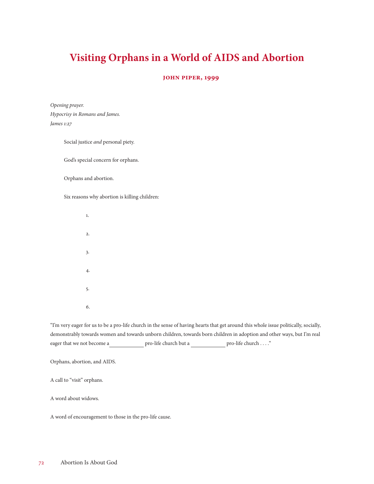## **Visiting Orphans in a World of AIDS and Abortion**

#### **john piper, 1999**

*Opening prayer. Hypocrisy in Romans and James. James 1:27*

Social justice *and* personal piety.

God's special concern for orphans.

Orphans and abortion.

Six reasons why abortion is killing children:

 1. 2. 3. 4. 5. 6.

"I'm very eager for us to be a pro-life church in the sense of having hearts that get around this whole issue politically, socially, demonstrably towards women and towards unborn children, towards born children in adoption and other ways, but I'm real eager that we not become a pro-life church but a pro-life church . . . . "

Orphans, abortion, and AIDS.

A call to "visit" orphans.

A word about widows.

A word of encouragement to those in the pro-life cause.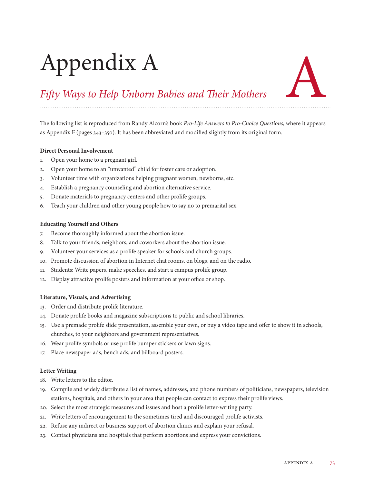# Appendix A



## *Fifty Ways to Help Unborn Babies and Their Mothers*

The following list is reproduced from Randy Alcorn's book *Pro-Life Answers to Pro-Choice Questions*, where it appears as Appendix F (pages 343–350). It has been abbreviated and modified slightly from its original form.

#### **Direct Personal Involvement**

- 1. Open your home to a pregnant girl.
- 2. Open your home to an "unwanted" child for foster care or adoption.
- 3. Volunteer time with organizations helping pregnant women, newborns, etc.
- 4. Establish a pregnancy counseling and abortion alternative service.
- 5. Donate materials to pregnancy centers and other prolife groups.
- 6. Teach your children and other young people how to say no to premarital sex.

#### **Educating Yourself and Others**

- 7. Become thoroughly informed about the abortion issue.
- 8. Talk to your friends, neighbors, and coworkers about the abortion issue.
- 9. Volunteer your services as a prolife speaker for schools and church groups.
- 10. Promote discussion of abortion in Internet chat rooms, on blogs, and on the radio.
- 11. Students: Write papers, make speeches, and start a campus prolife group.
- 12. Display attractive prolife posters and information at your office or shop.

#### **Literature, Visuals, and Advertising**

- 13. Order and distribute prolife literature.
- 14. Donate prolife books and magazine subscriptions to public and school libraries.
- 15. Use a premade prolife slide presentation, assemble your own, or buy a video tape and offer to show it in schools, churches, to your neighbors and government representatives.
- 16. Wear prolife symbols or use prolife bumper stickers or lawn signs.
- 17. Place newspaper ads, bench ads, and billboard posters.

#### **Letter Writing**

- 18. Write letters to the editor.
- 19. Compile and widely distribute a list of names, addresses, and phone numbers of politicians, newspapers, television stations, hospitals, and others in your area that people can contact to express their prolife views.
- 20. Select the most strategic measures and issues and host a prolife letter-writing party.
- 21. Write letters of encouragement to the sometimes tired and discouraged prolife activists.
- 22. Refuse any indirect or business support of abortion clinics and explain your refusal.
- 23. Contact physicians and hospitals that perform abortions and express your convictions.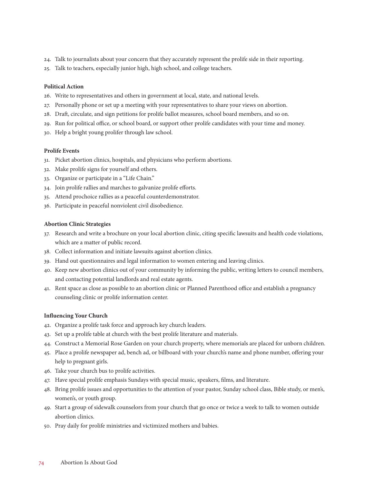- 24. Talk to journalists about your concern that they accurately represent the prolife side in their reporting.
- 25. Talk to teachers, especially junior high, high school, and college teachers.

#### **Political Action**

- 26. Write to representatives and others in government at local, state, and national levels.
- 27. Personally phone or set up a meeting with your representatives to share your views on abortion.
- 28. Draft, circulate, and sign petitions for prolife ballot measures, school board members, and so on.
- 29. Run for political office, or school board, or support other prolife candidates with your time and money.
- 30. Help a bright young prolifer through law school.

#### **Prolife Events**

- 31. Picket abortion clinics, hospitals, and physicians who perform abortions.
- 32. Make prolife signs for yourself and others.
- 33. Organize or participate in a "Life Chain."
- 34. Join prolife rallies and marches to galvanize prolife efforts.
- 35. Attend prochoice rallies as a peaceful counterdemonstrator.
- 36. Participate in peaceful nonviolent civil disobedience.

#### **Abortion Clinic Strategies**

- 37. Research and write a brochure on your local abortion clinic, citing specific lawsuits and health code violations, which are a matter of public record.
- 38. Collect information and initiate lawsuits against abortion clinics.
- 39. Hand out questionnaires and legal information to women entering and leaving clinics.
- 40. Keep new abortion clinics out of your community by informing the public, writing letters to council members, and contacting potential landlords and real estate agents.
- 41. Rent space as close as possible to an abortion clinic or Planned Parenthood office and establish a pregnancy counseling clinic or prolife information center.

#### **Influencing Your Church**

- 42. Organize a prolife task force and approach key church leaders.
- 43. Set up a prolife table at church with the best prolife literature and materials.
- 44. Construct a Memorial Rose Garden on your church property, where memorials are placed for unborn children.
- 45. Place a prolife newspaper ad, bench ad, or billboard with your church's name and phone number, offering your help to pregnant girls.
- 46. Take your church bus to prolife activities.
- 47. Have special prolife emphasis Sundays with special music, speakers, films, and literature.
- 48. Bring prolife issues and opportunities to the attention of your pastor, Sunday school class, Bible study, or men's, women's, or youth group.
- 49. Start a group of sidewalk counselors from your church that go once or twice a week to talk to women outside abortion clinics.
- 50. Pray daily for prolife ministries and victimized mothers and babies.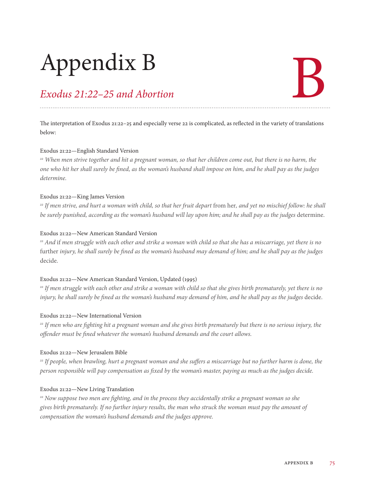# Appendix B

## *Exodus 21:22–25 and Abortion*

# B

The interpretation of Exodus 21:22–25 and especially verse 22 is complicated, as reflected in the variety of translations below:

#### Exodus 21:22—English Standard Version

*22 When men strive together and hit a pregnant woman, so that her children come out, but there is no harm, the one who hit her shall surely be fined, as the woman's husband shall impose on him, and he shall pay as the judges determine.*

#### Exodus 21:22—King James Version

<sup>22</sup> If men strive, and hurt a woman with child, so that her fruit depart from her, and yet no mischief follow: he shall *be surely punished, according as the woman's husband will lay upon him; and he shall pay as the judges* determine.

#### Exodus 21:22—New American Standard Version

*22 And* if *men struggle with each other and strike a woman with child so that she has a miscarriage, yet there is no*  further *injury, he shall surely be fined as the woman's husband may demand of him; and he shall pay as the judges*  decide.

#### Exodus 21:22—New American Standard Version, Updated (1995)

*22 If men struggle with each other and strike a woman with child so that she gives birth prematurely, yet there is no injury, he shall surely be fined as the woman's husband may demand of him, and he shall pay as the judges decide.* 

#### Exodus 21:22—New International Version

*22 If men who are fighting hit a pregnant woman and she gives birth prematurely but there is no serious injury, the offender must be fined whatever the woman's husband demands and the court allows.*

#### Exodus 21:22—New Jerusalem Bible

<sup>22</sup> If people, when brawling, hurt a pregnant woman and she suffers a miscarriage but no further harm is done, the *person responsible will pay compensation as fixed by the woman's master, paying as much as the judges decide.*

#### Exodus 21:22—New Living Translation

*22 Now suppose two men are fighting, and in the process they accidentally strike a pregnant woman so she gives birth prematurely. If no further injury results, the man who struck the woman must pay the amount of compensation the woman's husband demands and the judges approve.*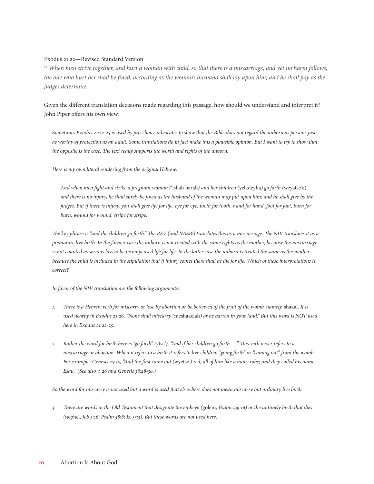#### Exodus 21:22—Revised Standard Version

*22 When men strive together, and hurt a woman with child, so that there is a miscarriage, and yet no harm follows, the one who hurt her shall be fined, according as the woman's husband shall lay upon him; and he shall pay as the judges determine.*

Given the different translation decisions made regarding this passage, how should we understand and interpret it? John Piper offers his own view:

*Sometimes Exodus 21:22-25 is used by pro-choice advocates to show that the Bible does not regard the unborn as persons just*  as worthy of protection as an adult. Some translations do in fact make this a plausible opinion. But I want to try to show that *the opposite is the case. The text really supports the worth and rights of the unborn.*

*Here is my own literal rendering from the original Hebrew:*

*And when men fight and strike a pregnant woman (*'ishah harah*) and her children (*yeladeyha*) go forth (*weyatse'u)*, and there is no injury, he shall surely be fined as the husband of the woman may put upon him; and he shall give by the judges. But if there is injury, you shall give life for life, eye for eye, tooth for tooth, hand for hand, foot for foot, burn for burn, wound for wound, stripe for stripe.*

*The key phrase is "and the children go forth." The RSV (and NASB!) translates this as a miscarriage. The NIV translates it as a premature live birth. In the former case the unborn is not treated with the same rights as the mother, because the miscarriage is not counted as serious loss to be recompensed life for life. In the latter case the unborn is treated the same as the mother* because the child is included in the stipulation that if injury comes there shall be life for life. Which of these interpretations is *correct?*

#### *In favor of the NIV translation are the following arguments:*

- *1. There is a Hebrew verb for miscarry or lose by abortion or be bereaved of the fruit of the womb, namely,* shakal. *It is used nearby in Exodus 23:26, "None shall miscarry (*meshakelah*) or be barren in your land." But this word is NOT used here in Exodus 21:22-25.*
- *2. Rather the word for birth here is "go forth" (*ytsa*'). "And if her children go forth . . ." This verb never refers to a miscarriage or abortion. When it refers to a birth it refers to live children "going forth" or "coming out" from the womb. For example, Genesis 25:25, "And the first came out (*wyetse*') red, all of him like a hairy robe; and they called his name Esau." (See also v. 26 and Genesis 38:28-30.)*

*So the word for miscarry is not used but a word is used that elsewhere does not mean miscarry but ordinary live birth.*

*3. There are words in the Old Testament that designate the embryo (*golem*, Psalm 139:16) or the untimely birth that dies (*nephel*, Job 3:16; Psalm 58:8; Is. 33:3). But these words are not used here.*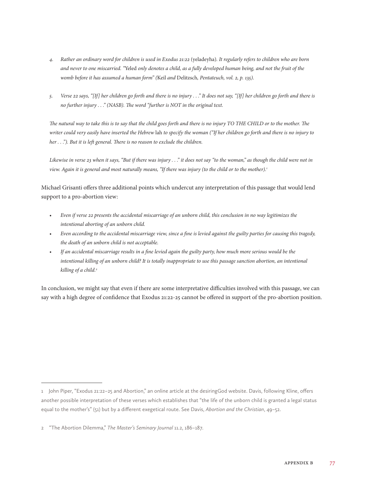- *4. Rather an ordinary word for children is used in Exodus 21:22* (yeladeyha)*. It regularly refers to children who are born and never to one miscarried. "*Yeled *only denotes a child, as a fully developed human being, and not the fruit of the womb before it has assumed a human form" (*Keil *and* Delitzsch*, Pentateuch, vol. 2, p. 135).*
- *5. Verse 22 says, "[If] her children go forth and there is no injury . . ." It does not say, "[If] her children go forth and there is no further injury . . ." (NASB). The word "further is NOT in the original text.*

*The natural way to take this is to say that the child goes forth and there is no injury TO THE CHILD or to the mother. The writer could very easily have inserted the Hebrew* lah *to specify the woman ("If her children go forth and there is no injury to her . . ."). But it is left general. There is no reason to exclude the children.*

*Likewise in verse 23 when it says, "But if there was injury . . ." it does not say "to the woman," as though the child were not in view. Again it is general and most naturally means, "If there was injury (to the child or to the mother).*<sup>1</sup>

Michael Grisanti offers three additional points which undercut any interpretation of this passage that would lend support to a pro-abortion view:

- *• Even if verse 22 presents the accidental miscarriage of an unborn child, this conclusion in no way legitimizes the intentional aborting of an unborn child.*
- *• Even according to the accidental miscarriage view, since a fine is levied against the guilty parties for causing this tragedy, the death of an unborn child is not acceptable.*
- *• If an accidental miscarriage results in a fine levied again the guilty party, how much more serious would be the intentional killing of an unborn child? It is totally inappropriate to use this passage sanction abortion, an intentional killing of a child.2*

In conclusion, we might say that even if there are some interpretative difficulties involved with this passage, we can say with a high degree of confidence that Exodus 21:22-25 cannot be offered in support of the pro-abortion position.

<sup>1</sup> John Piper, "Exodus 21:22–25 and Abortion," an online article at the desiringGod website. Davis, following Kline, offers another possible interpretation of these verses which establishes that "the life of the unborn child is granted a legal status equal to the mother's" (51) but by a different exegetical route. See Davis, *Abortion and the Christian*, 49–52.

<sup>2</sup> "The Abortion Dilemma," *The Master's Seminary Journal* 11.2, 186–187.